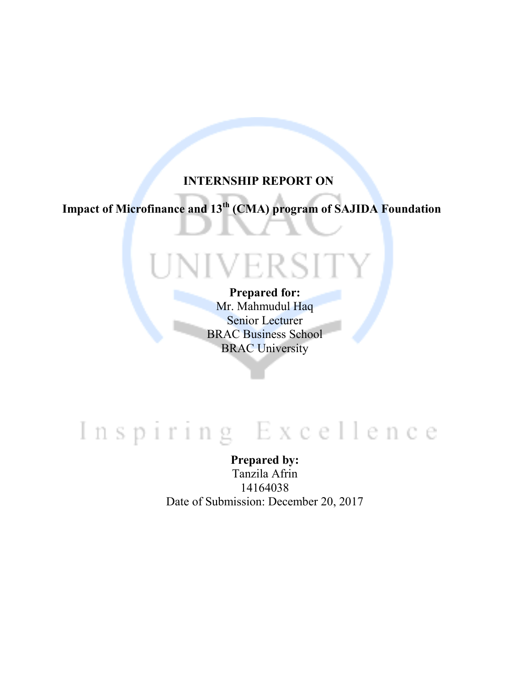#### **INTERNSHIP REPORT ON**

**Impact of Microfinance and 13th (CMA) program of SAJIDA Foundation** 

# NIVERSITY

#### **Prepared for:**

Mr. Mahmudul Haq Senior Lecturer BRAC Business School BRAC University

## Inspiring Excellence

**Prepared by:**  Tanzila Afrin 14164038 Date of Submission: December 20, 2017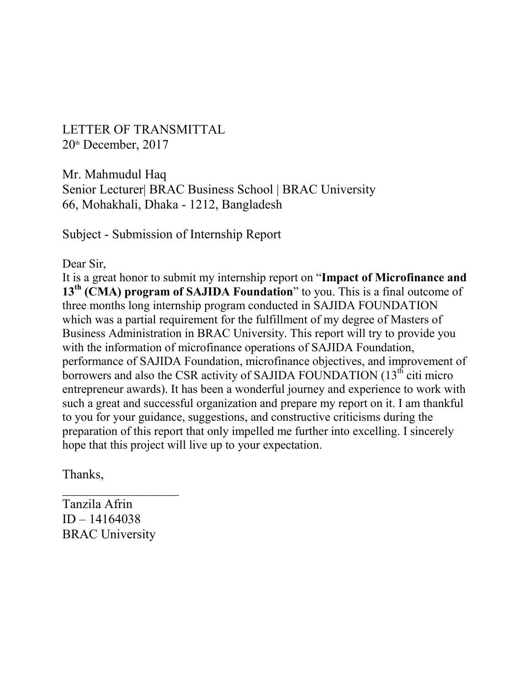LETTER OF TRANSMITTAL  $20<sup>th</sup>$  December,  $2017$ 

Mr. Mahmudul Haq Senior Lecturer| BRAC Business School | BRAC University 66, Mohakhali, Dhaka - 1212, Bangladesh

Subject - Submission of Internship Report

Dear Sir,

It is a great honor to submit my internship report on "**Impact of Microfinance and 13th (CMA) program of SAJIDA Foundation**" to you. This is a final outcome of three months long internship program conducted in SAJIDA FOUNDATION which was a partial requirement for the fulfillment of my degree of Masters of Business Administration in BRAC University. This report will try to provide you with the information of microfinance operations of SAJIDA Foundation, performance of SAJIDA Foundation, microfinance objectives, and improvement of borrowers and also the CSR activity of SAJIDA FOUNDATION  $(13<sup>th</sup>$  citi micro entrepreneur awards). It has been a wonderful journey and experience to work with such a great and successful organization and prepare my report on it. I am thankful to you for your guidance, suggestions, and constructive criticisms during the preparation of this report that only impelled me further into excelling. I sincerely hope that this project will live up to your expectation.

Thanks,

Tanzila Afrin ID – 14164038 BRAC University

 $\frac{1}{2}$  ,  $\frac{1}{2}$  ,  $\frac{1}{2}$  ,  $\frac{1}{2}$  ,  $\frac{1}{2}$  ,  $\frac{1}{2}$  ,  $\frac{1}{2}$  ,  $\frac{1}{2}$  ,  $\frac{1}{2}$  ,  $\frac{1}{2}$  ,  $\frac{1}{2}$  ,  $\frac{1}{2}$  ,  $\frac{1}{2}$  ,  $\frac{1}{2}$  ,  $\frac{1}{2}$  ,  $\frac{1}{2}$  ,  $\frac{1}{2}$  ,  $\frac{1}{2}$  ,  $\frac{1$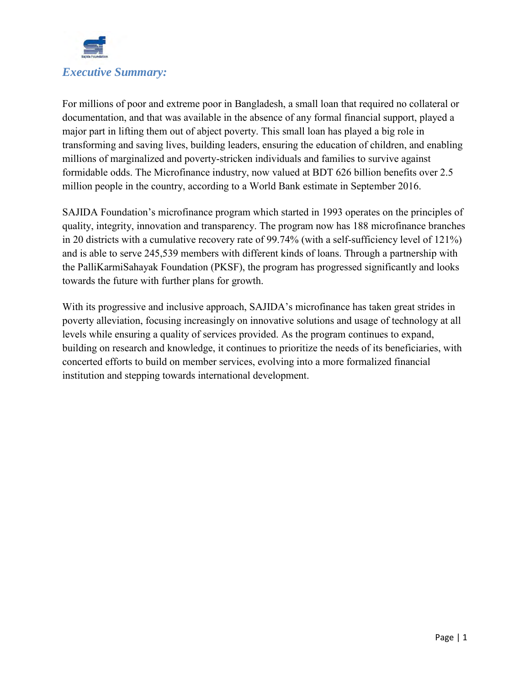

For millions of poor and extreme poor in Bangladesh, a small loan that required no collateral or documentation, and that was available in the absence of any formal financial support, played a major part in lifting them out of abject poverty. This small loan has played a big role in transforming and saving lives, building leaders, ensuring the education of children, and enabling millions of marginalized and poverty-stricken individuals and families to survive against formidable odds. The Microfinance industry, now valued at BDT 626 billion benefits over 2.5 million people in the country, according to a World Bank estimate in September 2016.

SAJIDA Foundation's microfinance program which started in 1993 operates on the principles of quality, integrity, innovation and transparency. The program now has 188 microfinance branches in 20 districts with a cumulative recovery rate of 99.74% (with a self-sufficiency level of 121%) and is able to serve 245,539 members with different kinds of loans. Through a partnership with the PalliKarmiSahayak Foundation (PKSF), the program has progressed significantly and looks towards the future with further plans for growth.

With its progressive and inclusive approach, SAJIDA's microfinance has taken great strides in poverty alleviation, focusing increasingly on innovative solutions and usage of technology at all levels while ensuring a quality of services provided. As the program continues to expand, building on research and knowledge, it continues to prioritize the needs of its beneficiaries, with concerted efforts to build on member services, evolving into a more formalized financial institution and stepping towards international development.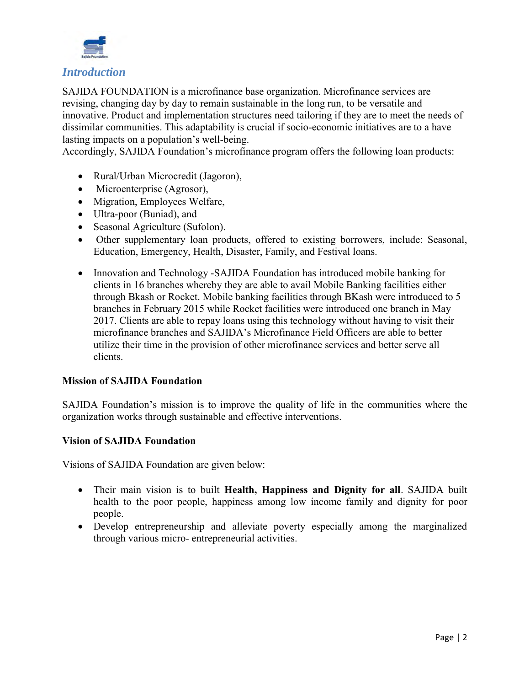

#### *Introduction*

SAJIDA FOUNDATION is a microfinance base organization. Microfinance services are revising, changing day by day to remain sustainable in the long run, to be versatile and innovative. Product and implementation structures need tailoring if they are to meet the needs of dissimilar communities. This adaptability is crucial if socio-economic initiatives are to a have lasting impacts on a population's well-being.

Accordingly, SAJIDA Foundation's microfinance program offers the following loan products:

- Rural/Urban Microcredit (Jagoron),
- Microenterprise (Agrosor),
- Migration, Employees Welfare,
- Ultra-poor (Buniad), and
- Seasonal Agriculture (Sufolon).
- Other supplementary loan products, offered to existing borrowers, include: Seasonal, Education, Emergency, Health, Disaster, Family, and Festival loans.
- Innovation and Technology -SAJIDA Foundation has introduced mobile banking for clients in 16 branches whereby they are able to avail Mobile Banking facilities either through Bkash or Rocket. Mobile banking facilities through BKash were introduced to 5 branches in February 2015 while Rocket facilities were introduced one branch in May 2017. Clients are able to repay loans using this technology without having to visit their microfinance branches and SAJIDA's Microfinance Field Officers are able to better utilize their time in the provision of other microfinance services and better serve all clients.

#### **Mission of SAJIDA Foundation**

SAJIDA Foundation's mission is to improve the quality of life in the communities where the organization works through sustainable and effective interventions.

#### **Vision of SAJIDA Foundation**

Visions of SAJIDA Foundation are given below:

- Their main vision is to built **Health, Happiness and Dignity for all**. SAJIDA built health to the poor people, happiness among low income family and dignity for poor people.
- Develop entrepreneurship and alleviate poverty especially among the marginalized through various micro- entrepreneurial activities.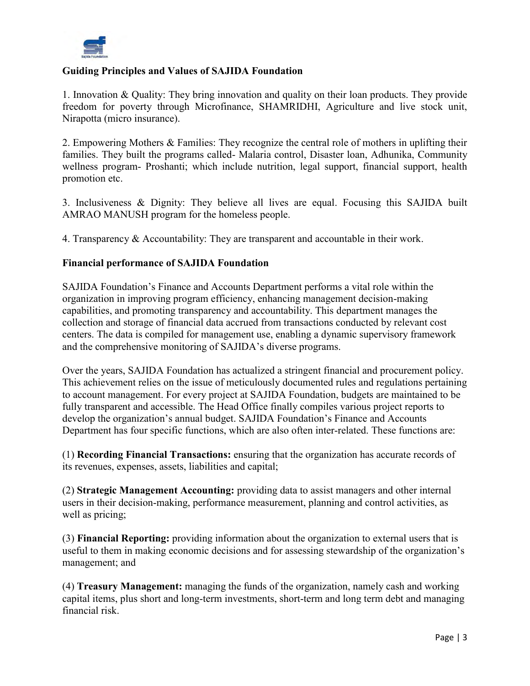

#### **Guiding Principles and Values of SAJIDA Foundation**

1. Innovation & Quality: They bring innovation and quality on their loan products. They provide freedom for poverty through Microfinance, SHAMRIDHI, Agriculture and live stock unit, Nirapotta (micro insurance).

2. Empowering Mothers & Families: They recognize the central role of mothers in uplifting their families. They built the programs called- Malaria control, Disaster loan, Adhunika, Community wellness program- Proshanti; which include nutrition, legal support, financial support, health promotion etc.

3. Inclusiveness & Dignity: They believe all lives are equal. Focusing this SAJIDA built AMRAO MANUSH program for the homeless people.

4. Transparency & Accountability: They are transparent and accountable in their work.

#### **Financial performance of SAJIDA Foundation**

SAJIDA Foundation's Finance and Accounts Department performs a vital role within the organization in improving program efficiency, enhancing management decision-making capabilities, and promoting transparency and accountability. This department manages the collection and storage of financial data accrued from transactions conducted by relevant cost centers. The data is compiled for management use, enabling a dynamic supervisory framework and the comprehensive monitoring of SAJIDA's diverse programs.

Over the years, SAJIDA Foundation has actualized a stringent financial and procurement policy. This achievement relies on the issue of meticulously documented rules and regulations pertaining to account management. For every project at SAJIDA Foundation, budgets are maintained to be fully transparent and accessible. The Head Office finally compiles various project reports to develop the organization's annual budget. SAJIDA Foundation's Finance and Accounts Department has four specific functions, which are also often inter-related. These functions are:

(1) **Recording Financial Transactions:** ensuring that the organization has accurate records of its revenues, expenses, assets, liabilities and capital;

(2) **Strategic Management Accounting:** providing data to assist managers and other internal users in their decision-making, performance measurement, planning and control activities, as well as pricing;

(3) **Financial Reporting:** providing information about the organization to external users that is useful to them in making economic decisions and for assessing stewardship of the organization's management; and

(4) **Treasury Management:** managing the funds of the organization, namely cash and working capital items, plus short and long-term investments, short-term and long term debt and managing financial risk.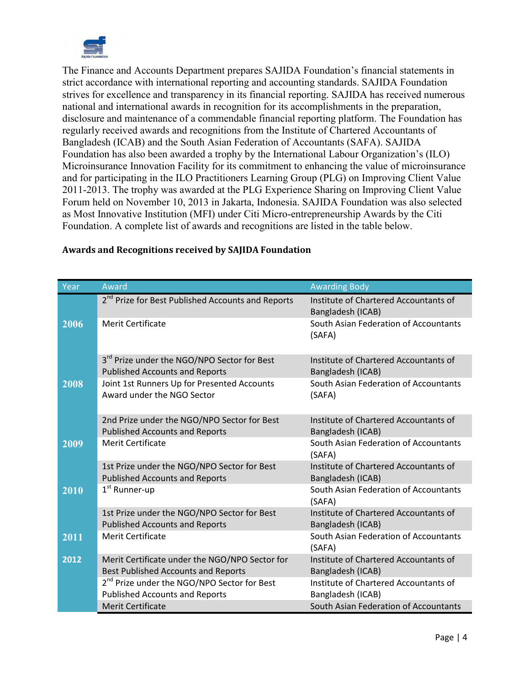

The Finance and Accounts Department prepares SAJIDA Foundation's financial statements in strict accordance with international reporting and accounting standards. SAJIDA Foundation strives for excellence and transparency in its financial reporting. SAJIDA has received numerous national and international awards in recognition for its accomplishments in the preparation, disclosure and maintenance of a commendable financial reporting platform. The Foundation has regularly received awards and recognitions from the Institute of Chartered Accountants of Bangladesh (ICAB) and the South Asian Federation of Accountants (SAFA). SAJIDA Foundation has also been awarded a trophy by the International Labour Organization's (ILO) Microinsurance Innovation Facility for its commitment to enhancing the value of microinsurance and for participating in the ILO Practitioners Learning Group (PLG) on Improving Client Value 2011-2013. The trophy was awarded at the PLG Experience Sharing on Improving Client Value Forum held on November 10, 2013 in Jakarta, Indonesia. SAJIDA Foundation was also selected as Most Innovative Institution (MFI) under Citi Micro-entrepreneurship Awards by the Citi Foundation. A complete list of awards and recognitions are listed in the table below.

| Year | Award                                                                                            | <b>Awarding Body</b>                                       |
|------|--------------------------------------------------------------------------------------------------|------------------------------------------------------------|
|      | 2 <sup>nd</sup> Prize for Best Published Accounts and Reports                                    | Institute of Chartered Accountants of<br>Bangladesh (ICAB) |
| 2006 | <b>Merit Certificate</b>                                                                         | South Asian Federation of Accountants<br>(SAFA)            |
|      | 3 <sup>rd</sup> Prize under the NGO/NPO Sector for Best<br><b>Published Accounts and Reports</b> | Institute of Chartered Accountants of<br>Bangladesh (ICAB) |
| 2008 | Joint 1st Runners Up for Presented Accounts<br>Award under the NGO Sector                        | South Asian Federation of Accountants<br>(SAFA)            |
|      | 2nd Prize under the NGO/NPO Sector for Best<br><b>Published Accounts and Reports</b>             | Institute of Chartered Accountants of<br>Bangladesh (ICAB) |
| 2009 | <b>Merit Certificate</b>                                                                         | South Asian Federation of Accountants<br>(SAFA)            |
|      | 1st Prize under the NGO/NPO Sector for Best<br><b>Published Accounts and Reports</b>             | Institute of Chartered Accountants of<br>Bangladesh (ICAB) |
| 2010 | 1 <sup>st</sup> Runner-up                                                                        | South Asian Federation of Accountants<br>(SAFA)            |
|      | 1st Prize under the NGO/NPO Sector for Best<br><b>Published Accounts and Reports</b>             | Institute of Chartered Accountants of<br>Bangladesh (ICAB) |
| 2011 | <b>Merit Certificate</b>                                                                         | South Asian Federation of Accountants<br>(SAFA)            |
| 2012 | Merit Certificate under the NGO/NPO Sector for<br><b>Best Published Accounts and Reports</b>     | Institute of Chartered Accountants of<br>Bangladesh (ICAB) |
|      | 2 <sup>nd</sup> Prize under the NGO/NPO Sector for Best                                          | Institute of Chartered Accountants of                      |
|      | <b>Published Accounts and Reports</b><br><b>Merit Certificate</b>                                | Bangladesh (ICAB)<br>South Asian Federation of Accountants |
|      |                                                                                                  |                                                            |

#### **Awards and Recognitions received by SAJIDA Foundation**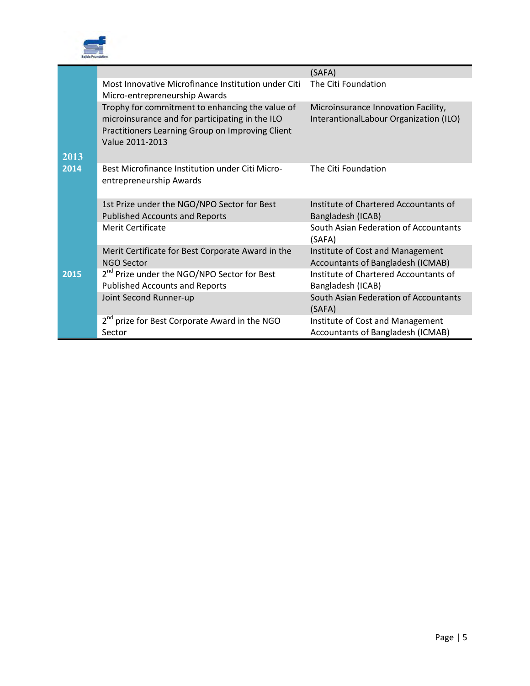

|      |                                                                                                                                                                           | (SAFA)                                                                        |
|------|---------------------------------------------------------------------------------------------------------------------------------------------------------------------------|-------------------------------------------------------------------------------|
|      | Most Innovative Microfinance Institution under Citi<br>Micro-entrepreneurship Awards                                                                                      | The Citi Foundation                                                           |
| 2013 | Trophy for commitment to enhancing the value of<br>microinsurance and for participating in the ILO<br>Practitioners Learning Group on Improving Client<br>Value 2011-2013 | Microinsurance Innovation Facility,<br>InterantionalLabour Organization (ILO) |
| 2014 | Best Microfinance Institution under Citi Micro-<br>entrepreneurship Awards                                                                                                | The Citi Foundation                                                           |
|      | 1st Prize under the NGO/NPO Sector for Best<br><b>Published Accounts and Reports</b>                                                                                      | Institute of Chartered Accountants of<br>Bangladesh (ICAB)                    |
|      | <b>Merit Certificate</b>                                                                                                                                                  | South Asian Federation of Accountants<br>(SAFA)                               |
|      | Merit Certificate for Best Corporate Award in the<br><b>NGO Sector</b>                                                                                                    | Institute of Cost and Management<br>Accountants of Bangladesh (ICMAB)         |
| 2015 | 2 <sup>nd</sup> Prize under the NGO/NPO Sector for Best<br><b>Published Accounts and Reports</b>                                                                          | Institute of Chartered Accountants of<br>Bangladesh (ICAB)                    |
|      | Joint Second Runner-up                                                                                                                                                    | South Asian Federation of Accountants<br>(SAFA)                               |
|      | 2 <sup>nd</sup> prize for Best Corporate Award in the NGO<br>Sector                                                                                                       | Institute of Cost and Management<br>Accountants of Bangladesh (ICMAB)         |
|      |                                                                                                                                                                           |                                                                               |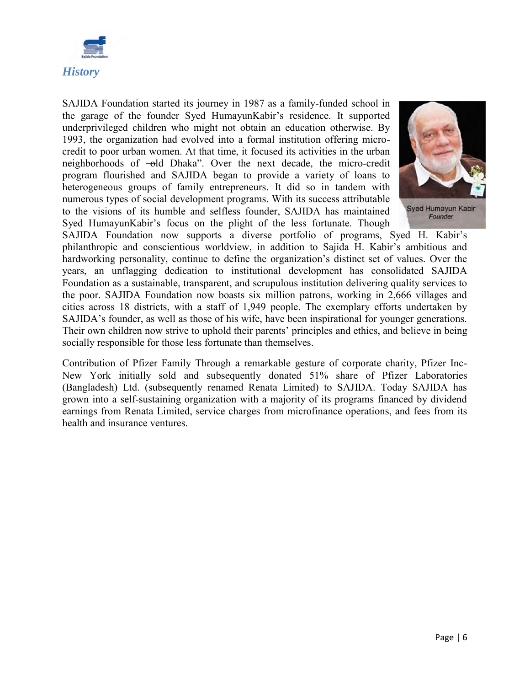

SAJIDA Foundation started its journey in 1987 as a family-funded school in the garage of the founder Syed HumayunKabir's residence. It supported underprivileged children who might not obtain an education otherwise. By 1993, the organization had evolved into a formal institution offering microcredit to poor urban women. At that time, it focused its activities in the urban neighborhoods of —old Dhaka". Over the next decade, the micro-credit program flourished and SAJIDA began to provide a variety of loans to heterogeneous groups of family entrepreneurs. It did so in tandem with numerous types of social development programs. With its success attributable to the visions of its humble and selfless founder, SAJIDA has maintained Syed HumayunKabir's focus on the plight of the less fortunate. Though



Syed Humayun Kabir Founder

SAJIDA Foundation now supports a diverse portfolio of programs, Syed H. Kabir's philanthropic and conscientious worldview, in addition to Sajida H. Kabir's ambitious and hardworking personality, continue to define the organization's distinct set of values. Over the years, an unflagging dedication to institutional development has consolidated SAJIDA Foundation as a sustainable, transparent, and scrupulous institution delivering quality services to the poor. SAJIDA Foundation now boasts six million patrons, working in 2,666 villages and cities across 18 districts, with a staff of 1,949 people. The exemplary efforts undertaken by SAJIDA's founder, as well as those of his wife, have been inspirational for younger generations. Their own children now strive to uphold their parents' principles and ethics, and believe in being socially responsible for those less fortunate than themselves.

Contribution of Pfizer Family Through a remarkable gesture of corporate charity, Pfizer Inc-New York initially sold and subsequently donated 51% share of Pfizer Laboratories (Bangladesh) Ltd. (subsequently renamed Renata Limited) to SAJIDA. Today SAJIDA has grown into a self-sustaining organization with a majority of its programs financed by dividend earnings from Renata Limited, service charges from microfinance operations, and fees from its health and insurance ventures.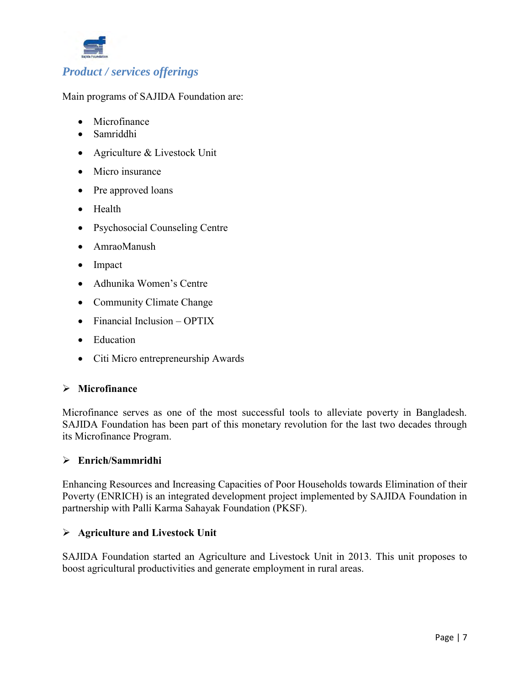

Main programs of SAJIDA Foundation are:

- [Microfinance](http://www.sajidafoundation.org/microfinance/)
- [Samriddhi](http://www.sajidafoundation.org/samriddhi/)
- [Agriculture & Livestock Unit](http://www.sajidafoundation.org/agriculture-livestock-unit/)
- [Micro insurance](http://www.sajidafoundation.org/microinsurance/)
- Pre approved loans
- [Health](http://www.sajidafoundation.org/health/)
- [Psychosocial Counseling Centre](http://www.sajidafoundation.org/psychosocial-counseling-centre/)
- [AmraoManush](http://www.sajidafoundation.org/amrao-manush/)
- [Impact](http://www.sajidafoundation.org/impact/)
- [Adhunika Women's Centre](http://www.sajidafoundation.org/adhunika-womens-centre/)
- [Community Climate Change](http://www.sajidafoundation.org/community-climate-change/)
- [Financial Inclusion –](http://www.sajidafoundation.org/financial-inclusion-optix/) OPTIX
- [Education](http://www.sajidafoundation.org/education/)
- Citi Micro [entrepreneurship Awards](http://www.sajidafoundation.org/citi-microentrepreneurship-awards/)

#### **Microfinance**

Microfinance serves as one of the most successful tools to alleviate poverty in Bangladesh. SAJIDA Foundation has been part of this monetary revolution for the last two decades through its Microfinance Program.

#### **Enrich/Sammridhi**

Enhancing Resources and Increasing Capacities of Poor Households towards Elimination of their Poverty (ENRICH) is an integrated development project implemented by SAJIDA Foundation in partnership with Palli Karma Sahayak Foundation (PKSF).

#### **Agriculture and Livestock Unit**

SAJIDA Foundation started an Agriculture and Livestock Unit in 2013. This unit proposes to boost agricultural productivities and generate employment in rural areas.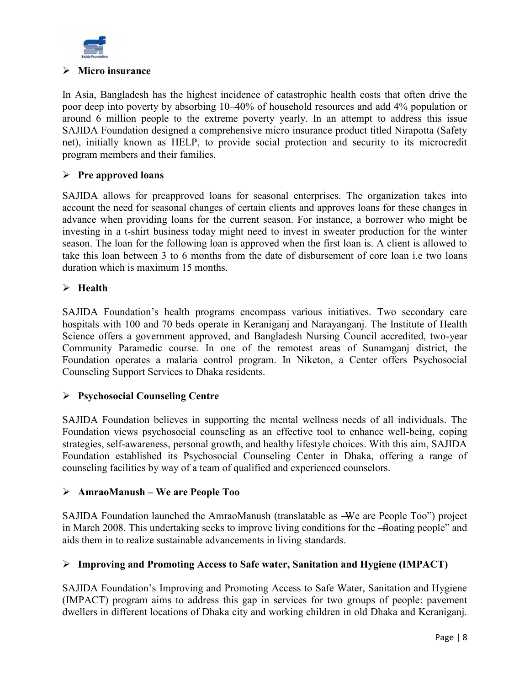

#### **Micro insurance**

In Asia, Bangladesh has the highest incidence of catastrophic health costs that often drive the poor deep into poverty by absorbing 10–40% of household resources and add 4% population or around 6 million people to the extreme poverty yearly. In an attempt to address this issue SAJIDA Foundation designed a comprehensive micro insurance product titled Nirapotta (Safety net), initially known as HELP, to provide social protection and security to its microcredit program members and their families.

#### **Pre approved loans**

SAJIDA allows for preapproved loans for seasonal enterprises. The organization takes into account the need for seasonal changes of certain clients and approves loans for these changes in advance when providing loans for the current season. For instance, a borrower who might be investing in a t-shirt business today might need to invest in sweater production for the winter season. The loan for the following loan is approved when the first loan is. A client is allowed to take this loan between 3 to 6 months from the date of disbursement of core loan i.e two loans duration which is maximum 15 months.

#### **Health**

SAJIDA Foundation's health programs encompass various initiatives. Two secondary care hospitals with 100 and 70 beds operate in Keraniganj and Narayanganj. The Institute of Health Science offers a government approved, and Bangladesh Nursing Council accredited, two-year Community Paramedic course. In one of the remotest areas of Sunamganj district, the Foundation operates a malaria control program. In Niketon, a Center offers Psychosocial Counseling Support Services to Dhaka residents.

#### **Psychosocial Counseling Centre**

SAJIDA Foundation believes in supporting the mental wellness needs of all individuals. The Foundation views psychosocial counseling as an effective tool to enhance well-being, coping strategies, self-awareness, personal growth, and healthy lifestyle choices. With this aim, SAJIDA Foundation established its Psychosocial Counseling Center in Dhaka, offering a range of counseling facilities by way of a team of qualified and experienced counselors.

#### **AmraoManush – We are People Too**

SAJIDA Foundation launched the AmraoManush (translatable as —We are People Too") project in March 2008. This undertaking seeks to improve living conditions for the -floating people" and aids them in to realize sustainable advancements in living standards.

#### **Improving and Promoting Access to Safe water, Sanitation and Hygiene (IMPACT)**

SAJIDA Foundation's Improving and Promoting Access to Safe Water, Sanitation and Hygiene (IMPACT) program aims to address this gap in services for two groups of people: pavement dwellers in different locations of Dhaka city and working children in old Dhaka and Keraniganj.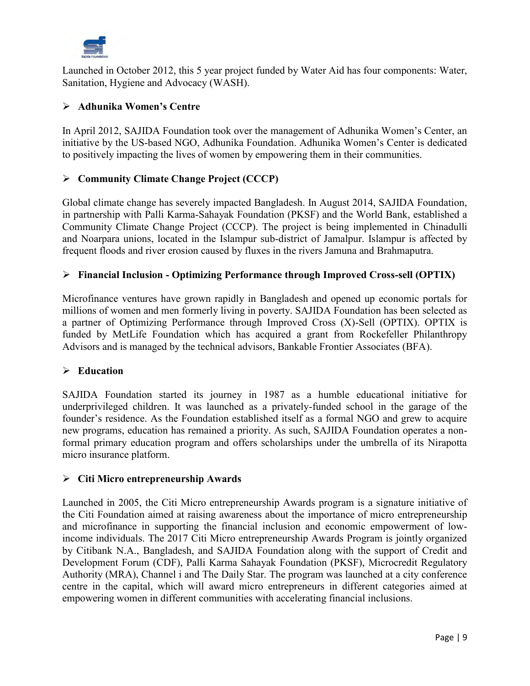

Launched in October 2012, this 5 year project funded by Water Aid has four components: Water, Sanitation, Hygiene and Advocacy (WASH).

#### **Adhunika Women's Centre**

In April 2012, SAJIDA Foundation took over the management of Adhunika Women's Center, an initiative by the US-based NGO, Adhunika Foundation. Adhunika Women's Center is dedicated to positively impacting the lives of women by empowering them in their communities.

#### **Community Climate Change Project (CCCP)**

Global climate change has severely impacted Bangladesh. In August 2014, SAJIDA Foundation, in partnership with Palli Karma-Sahayak Foundation (PKSF) and the World Bank, established a Community Climate Change Project (CCCP). The project is being implemented in Chinadulli and Noarpara unions, located in the Islampur sub-district of Jamalpur. Islampur is affected by frequent floods and river erosion caused by fluxes in the rivers Jamuna and Brahmaputra.

#### **Financial Inclusion - Optimizing Performance through Improved Cross-sell (OPTIX)**

Microfinance ventures have grown rapidly in Bangladesh and opened up economic portals for millions of women and men formerly living in poverty. SAJIDA Foundation has been selected as a partner of Optimizing Performance through Improved Cross (X)-Sell (OPTIX). OPTIX is funded by MetLife Foundation which has acquired a grant from Rockefeller Philanthropy Advisors and is managed by the technical advisors, Bankable Frontier Associates (BFA).

#### **Education**

SAJIDA Foundation started its journey in 1987 as a humble educational initiative for underprivileged children. It was launched as a privately-funded school in the garage of the founder's residence. As the Foundation established itself as a formal NGO and grew to acquire new programs, education has remained a priority. As such, SAJIDA Foundation operates a nonformal primary education program and offers scholarships under the umbrella of its Nirapotta micro insurance platform.

#### **[Citi Micro entrepreneurship Awards](http://www.sajidafoundation.org/citi-microentrepreneurship-awards/)**

Launched in 2005, the Citi Micro entrepreneurship Awards program is a signature initiative of the Citi Foundation aimed at raising awareness about the importance of micro entrepreneurship and microfinance in supporting the financial inclusion and economic empowerment of lowincome individuals. The 2017 Citi Micro entrepreneurship Awards Program is jointly organized by Citibank N.A., Bangladesh, and SAJIDA Foundation along with the support of Credit and Development Forum (CDF), Palli Karma Sahayak Foundation (PKSF), Microcredit Regulatory Authority (MRA), Channel i and The Daily Star. The program was launched at a city conference centre in the capital, which will award micro entrepreneurs in different categories aimed at empowering women in different communities with accelerating financial inclusions.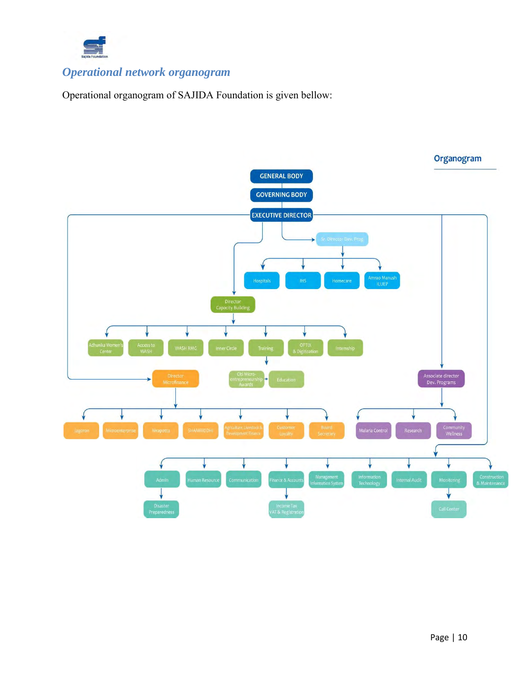

### *Operational network organogram*

Operational organogram of SAJIDA Foundation is given bellow:

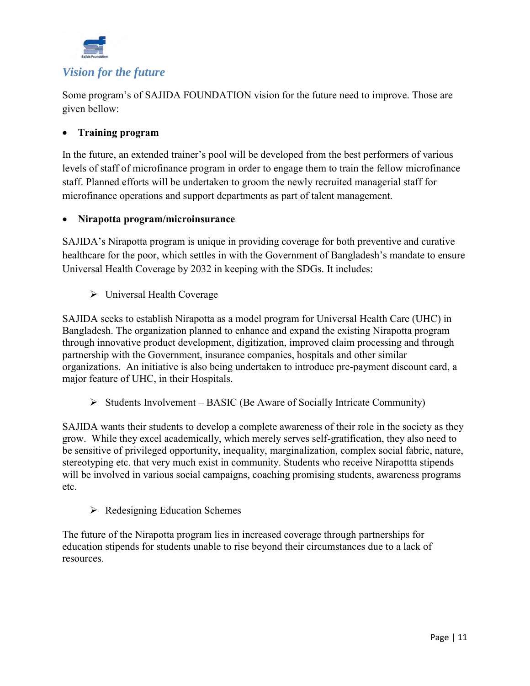

Some program's of SAJIDA FOUNDATION vision for the future need to improve. Those are given bellow:

#### **Training program**

In the future, an extended trainer's pool will be developed from the best performers of various levels of staff of microfinance program in order to engage them to train the fellow microfinance staff. Planned efforts will be undertaken to groom the newly recruited managerial staff for microfinance operations and support departments as part of talent management.

#### **Nirapotta program/microinsurance**

SAJIDA's Nirapotta program is unique in providing coverage for both preventive and curative healthcare for the poor, which settles in with the Government of Bangladesh's mandate to ensure Universal Health Coverage by 2032 in keeping with the SDGs. It includes:

> Universal Health Coverage

SAJIDA seeks to establish Nirapotta as a model program for Universal Health Care (UHC) in Bangladesh. The organization planned to enhance and expand the existing Nirapotta program through innovative product development, digitization, improved claim processing and through partnership with the Government, insurance companies, hospitals and other similar organizations. An initiative is also being undertaken to introduce pre-payment discount card, a major feature of UHC, in their Hospitals.

 $\triangleright$  Students Involvement – BASIC (Be Aware of Socially Intricate Community)

SAJIDA wants their students to develop a complete awareness of their role in the society as they grow. While they excel academically, which merely serves self-gratification, they also need to be sensitive of privileged opportunity, inequality, marginalization, complex social fabric, nature, stereotyping etc. that very much exist in community. Students who receive Nirapottta stipends will be involved in various social campaigns, coaching promising students, awareness programs etc.

 $\triangleright$  Redesigning Education Schemes

The future of the Nirapotta program lies in increased coverage through partnerships for education stipends for students unable to rise beyond their circumstances due to a lack of resources.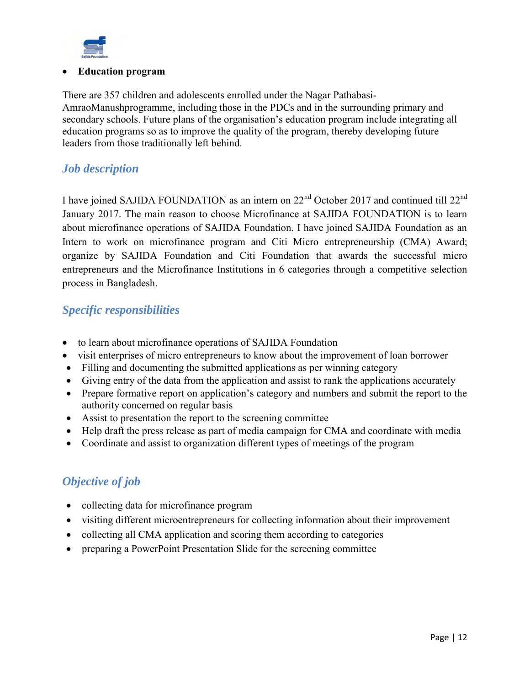

#### **Education program**

There are 357 children and adolescents enrolled under the Nagar Pathabasi-AmraoManushprogramme, including those in the PDCs and in the surrounding primary and secondary schools. Future plans of the organisation's education program include integrating all education programs so as to improve the quality of the program, thereby developing future leaders from those traditionally left behind.

#### *Job description*

I have joined SAJIDA FOUNDATION as an intern on 22<sup>nd</sup> October 2017 and continued till 22<sup>nd</sup> January 2017. The main reason to choose Microfinance at SAJIDA FOUNDATION is to learn about microfinance operations of SAJIDA Foundation. I have joined SAJIDA Foundation as an Intern to work on microfinance program and Citi Micro entrepreneurship (CMA) Award; organize by SAJIDA Foundation and Citi Foundation that awards the successful micro entrepreneurs and the Microfinance Institutions in 6 categories through a competitive selection process in Bangladesh.

#### *Specific responsibilities*

- to learn about microfinance operations of SAJIDA Foundation
- visit enterprises of micro entrepreneurs to know about the improvement of loan borrower
- Filling and documenting the submitted applications as per winning category
- Giving entry of the data from the application and assist to rank the applications accurately
- Prepare formative report on application's category and numbers and submit the report to the authority concerned on regular basis
- Assist to presentation the report to the screening committee
- Help draft the press release as part of media campaign for CMA and coordinate with media
- Coordinate and assist to organization different types of meetings of the program

#### *Objective of job*

- collecting data for microfinance program
- visiting different microentrepreneurs for collecting information about their improvement
- collecting all CMA application and scoring them according to categories
- preparing a PowerPoint Presentation Slide for the screening committee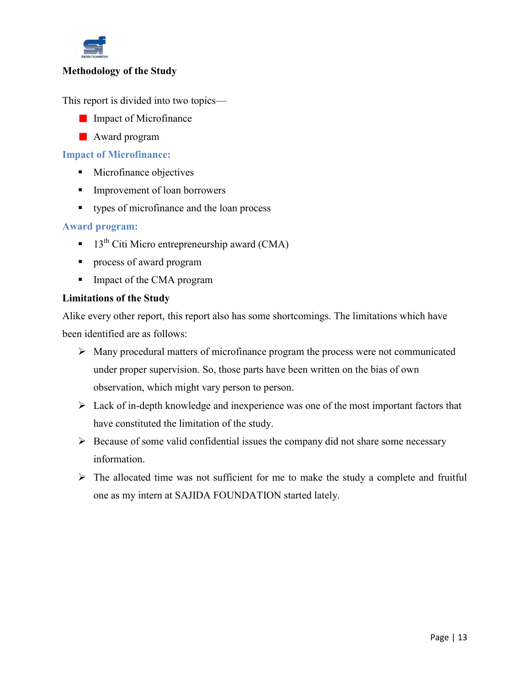

#### **Methodology of the Study**

This report is divided into two topics—

- **Impact of Microfinance**
- **Award program**

#### **Impact of Microfinance:**

- **Microfinance objectives**
- **Improvement of loan borrowers**
- types of microfinance and the loan process

#### **Award program:**

- $13<sup>th</sup>$  Citi Micro entrepreneurship award (CMA)
- **Peropensi** process of award program
- Impact of the CMA program

#### **Limitations of the Study**

Alike every other report, this report also has some shortcomings. The limitations which have been identified are as follows:

- $\triangleright$  Many procedural matters of microfinance program the process were not communicated under proper supervision. So, those parts have been written on the bias of own observation, which might vary person to person.
- $\triangleright$  Lack of in-depth knowledge and inexperience was one of the most important factors that have constituted the limitation of the study.
- $\triangleright$  Because of some valid confidential issues the company did not share some necessary information.
- $\triangleright$  The allocated time was not sufficient for me to make the study a complete and fruitful one as my intern at SAJIDA FOUNDATION started lately.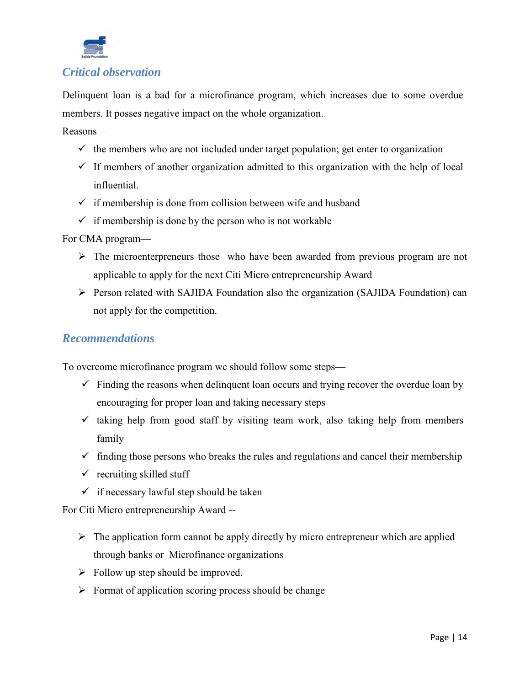

Delinquent loan is a bad for a microfinance program, which increases due to some overdue members. It posses negative impact on the whole organization.

Reasons—

- $\checkmark$  the members who are not included under target population; get enter to organization
- $\checkmark$  If members of another organization admitted to this organization with the help of local influential.
- $\checkmark$  if membership is done from collision between wife and husband
- $\checkmark$  if membership is done by the person who is not workable

For CMA program—

- $\triangleright$  The microenterpreneurs those who have been awarded from previous program are not applicable to apply for the next Citi Micro entrepreneurship Award
- Person related with SAJIDA Foundation also the organization (SAJIDA Foundation) can not apply for the competition.

#### *Recommendations*

To overcome microfinance program we should follow some steps—

- $\checkmark$  Finding the reasons when delinguent loan occurs and trying recover the overdue loan by encouraging for proper loan and taking necessary steps
- $\checkmark$  taking help from good staff by visiting team work, also taking help from members family
- $\checkmark$  finding those persons who breaks the rules and regulations and cancel their membership
- $\checkmark$  recruiting skilled stuff
- $\checkmark$  if necessary lawful step should be taken

For Citi Micro entrepreneurship Award --

- $\triangleright$  The application form cannot be apply directly by micro entrepreneur which are applied through banks or Microfinance organizations
- $\triangleright$  Follow up step should be improved.
- $\triangleright$  Format of application scoring process should be change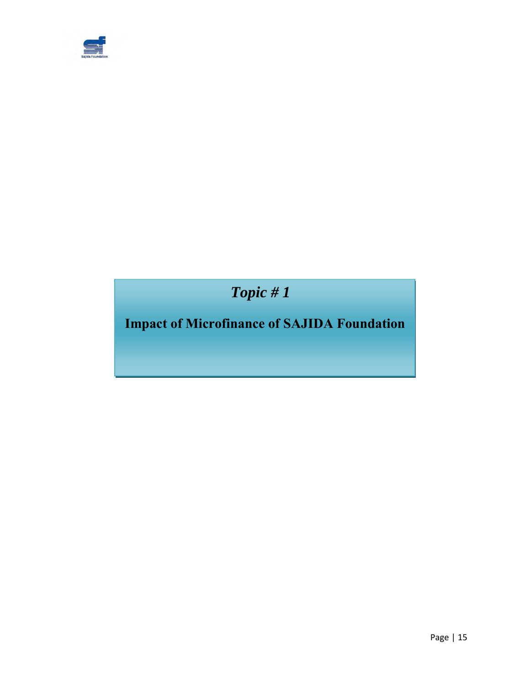

 *Topic # 1*

## **Impact of Microfinance of SAJIDA Foundation**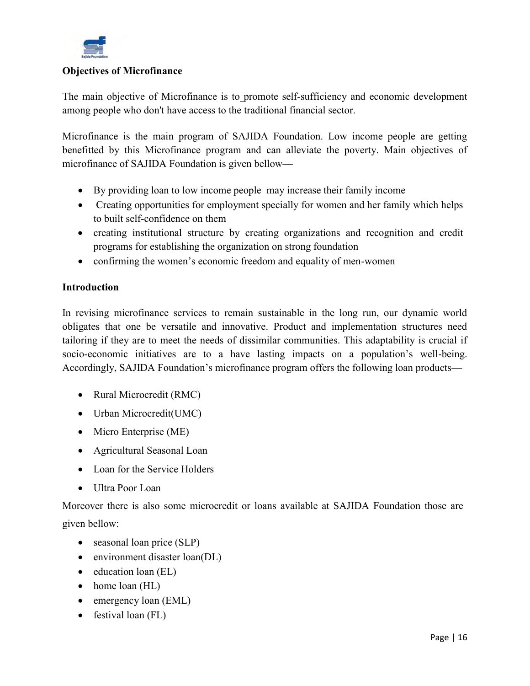

#### **Objectives of Microfinance**

The main objective of Microfinance is to promote self-sufficiency and economic development among people who don't have access to the traditional financial sector.

Microfinance is the main program of SAJIDA Foundation. Low income people are getting benefitted by this Microfinance program and can alleviate the poverty. Main objectives of microfinance of SAJIDA Foundation is given bellow—

- By providing loan to low income people may increase their family income
- Creating opportunities for employment specially for women and her family which helps to built self-confidence on them
- creating institutional structure by creating organizations and recognition and credit programs for establishing the organization on strong foundation
- confirming the women's economic freedom and equality of men-women

#### **Introduction**

In revising microfinance services to remain sustainable in the long run, our dynamic world obligates that one be versatile and innovative. Product and implementation structures need tailoring if they are to meet the needs of dissimilar communities. This adaptability is crucial if socio-economic initiatives are to a have lasting impacts on a population's well-being. Accordingly, SAJIDA Foundation's microfinance program offers the following loan products—

- Rural Microcredit (RMC)
- Urban Microcredit(UMC)
- Micro Enterprise (ME)
- Agricultural Seasonal Loan
- Loan for the Service Holders
- Ultra Poor Loan

Moreover there is also some microcredit or loans available at SAJIDA Foundation those are given bellow:

- seasonal loan price (SLP)
- environment disaster loan(DL)
- education loan (EL)
- home loan (HL)
- emergency loan (EML)
- festival loan (FL)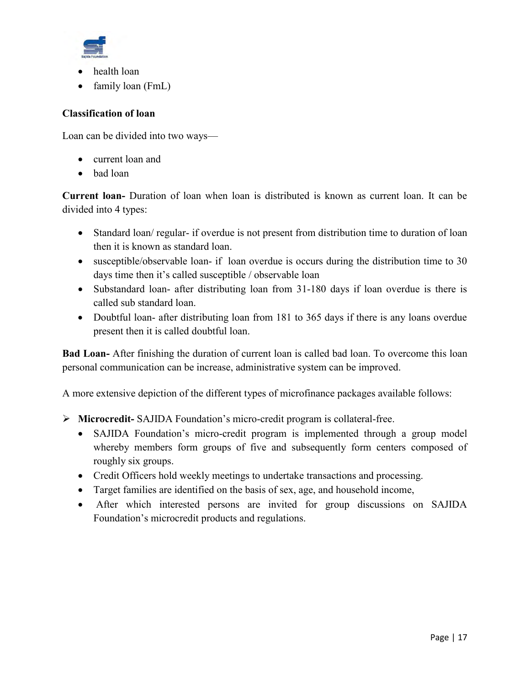

- health loan
- family loan (FmL)

#### **Classification of loan**

Loan can be divided into two ways—

- current loan and
- bad loan

**Current loan-** Duration of loan when loan is distributed is known as current loan. It can be divided into 4 types:

- Standard loan/ regular- if overdue is not present from distribution time to duration of loan then it is known as standard loan.
- susceptible/observable loan- if loan overdue is occurs during the distribution time to 30 days time then it's called susceptible / observable loan
- Substandard loan- after distributing loan from 31-180 days if loan overdue is there is called sub standard loan.
- Doubtful loan- after distributing loan from 181 to 365 days if there is any loans overdue present then it is called doubtful loan.

**Bad Loan-** After finishing the duration of current loan is called bad loan. To overcome this loan personal communication can be increase, administrative system can be improved.

A more extensive depiction of the different types of microfinance packages available follows:

- **Microcredit-** SAJIDA Foundation's micro-credit program is collateral-free.
	- SAJIDA Foundation's micro-credit program is implemented through a group model whereby members form groups of five and subsequently form centers composed of roughly six groups.
	- Credit Officers hold weekly meetings to undertake transactions and processing.
	- Target families are identified on the basis of sex, age, and household income,
	- After which interested persons are invited for group discussions on SAJIDA Foundation's microcredit products and regulations.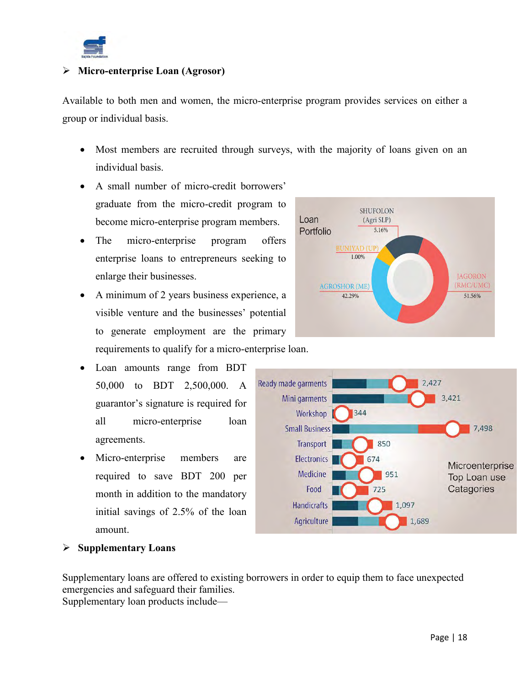

#### **Micro-enterprise Loan (Agrosor)**

Available to both men and women, the micro-enterprise program provides services on either a group or individual basis.

- Most members are recruited through surveys, with the majority of loans given on an individual basis.
- A small number of micro-credit borrowers' graduate from the micro-credit program to become micro-enterprise program members.
- The micro-enterprise program offers enterprise loans to entrepreneurs seeking to enlarge their businesses.
- A minimum of 2 years business experience, a visible venture and the businesses' potential to generate employment are the primary requirements to qualify for a micro-enterprise loan.
- Loan amounts range from BDT 50,000 to BDT 2,500,000. A guarantor's signature is required for all micro-enterprise loan agreements.
- Micro-enterprise members are required to save BDT 200 per month in addition to the mandatory initial savings of 2.5% of the loan amount.





#### **Supplementary Loans**

Supplementary loans are offered to existing borrowers in order to equip them to face unexpected emergencies and safeguard their families.

Supplementary loan products include—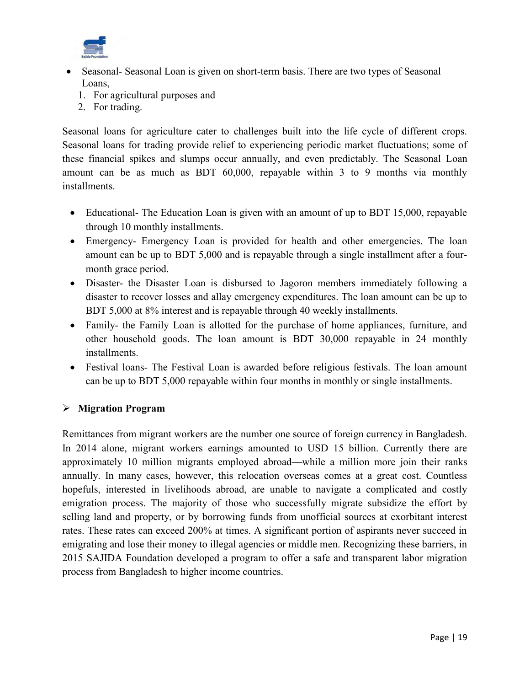

- Seasonal- Seasonal Loan is given on short-term basis. There are two types of Seasonal Loans,
	- 1. For agricultural purposes and
	- 2. For trading.

Seasonal loans for agriculture cater to challenges built into the life cycle of different crops. Seasonal loans for trading provide relief to experiencing periodic market fluctuations; some of these financial spikes and slumps occur annually, and even predictably. The Seasonal Loan amount can be as much as BDT 60,000, repayable within 3 to 9 months via monthly installments.

- Educational- The Education Loan is given with an amount of up to BDT 15,000, repayable through 10 monthly installments.
- Emergency- Emergency Loan is provided for health and other emergencies. The loan amount can be up to BDT 5,000 and is repayable through a single installment after a fourmonth grace period.
- Disaster- the Disaster Loan is disbursed to Jagoron members immediately following a disaster to recover losses and allay emergency expenditures. The loan amount can be up to BDT 5,000 at 8% interest and is repayable through 40 weekly installments.
- Family- the Family Loan is allotted for the purchase of home appliances, furniture, and other household goods. The loan amount is BDT 30,000 repayable in 24 monthly installments.
- Festival loans- The Festival Loan is awarded before religious festivals. The loan amount can be up to BDT 5,000 repayable within four months in monthly or single installments.

#### **Migration Program**

Remittances from migrant workers are the number one source of foreign currency in Bangladesh. In 2014 alone, migrant workers earnings amounted to USD 15 billion. Currently there are approximately 10 million migrants employed abroad—while a million more join their ranks annually. In many cases, however, this relocation overseas comes at a great cost. Countless hopefuls, interested in livelihoods abroad, are unable to navigate a complicated and costly emigration process. The majority of those who successfully migrate subsidize the effort by selling land and property, or by borrowing funds from unofficial sources at exorbitant interest rates. These rates can exceed 200% at times. A significant portion of aspirants never succeed in emigrating and lose their money to illegal agencies or middle men. Recognizing these barriers, in 2015 SAJIDA Foundation developed a program to offer a safe and transparent labor migration process from Bangladesh to higher income countries.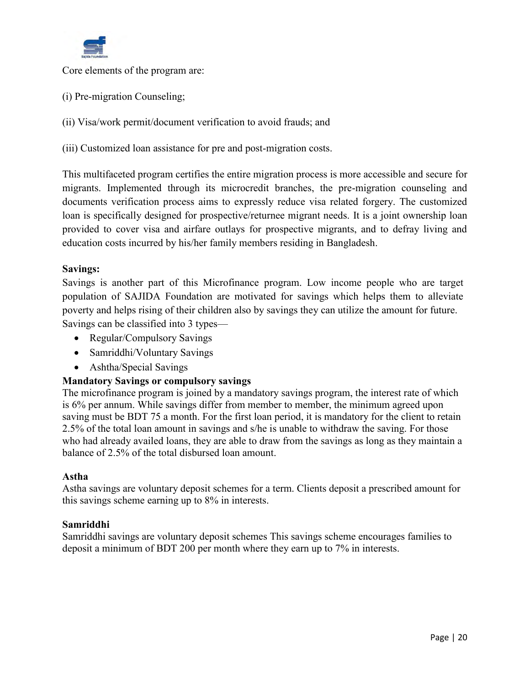

Core elements of the program are:

- (i) Pre-migration Counseling;
- (ii) Visa/work permit/document verification to avoid frauds; and
- (iii) Customized loan assistance for pre and post-migration costs.

This multifaceted program certifies the entire migration process is more accessible and secure for migrants. Implemented through its microcredit branches, the pre-migration counseling and documents verification process aims to expressly reduce visa related forgery. The customized loan is specifically designed for prospective/returnee migrant needs. It is a joint ownership loan provided to cover visa and airfare outlays for prospective migrants, and to defray living and education costs incurred by his/her family members residing in Bangladesh.

#### **Savings:**

Savings is another part of this Microfinance program. Low income people who are target population of SAJIDA Foundation are motivated for savings which helps them to alleviate poverty and helps rising of their children also by savings they can utilize the amount for future. Savings can be classified into 3 types—

- Regular/Compulsory Savings
- Samriddhi/Voluntary Savings
- Ashtha/Special Savings

#### **Mandatory Savings or compulsory savings**

The microfinance program is joined by a mandatory savings program, the interest rate of which is 6% per annum. While savings differ from member to member, the minimum agreed upon saving must be BDT 75 a month. For the first loan period, it is mandatory for the client to retain 2.5% of the total loan amount in savings and s/he is unable to withdraw the saving. For those who had already availed loans, they are able to draw from the savings as long as they maintain a balance of 2.5% of the total disbursed loan amount.

#### **Astha**

Astha savings are voluntary deposit schemes for a term. Clients deposit a prescribed amount for this savings scheme earning up to 8% in interests.

#### **Samriddhi**

Samriddhi savings are voluntary deposit schemes This savings scheme encourages families to deposit a minimum of BDT 200 per month where they earn up to 7% in interests.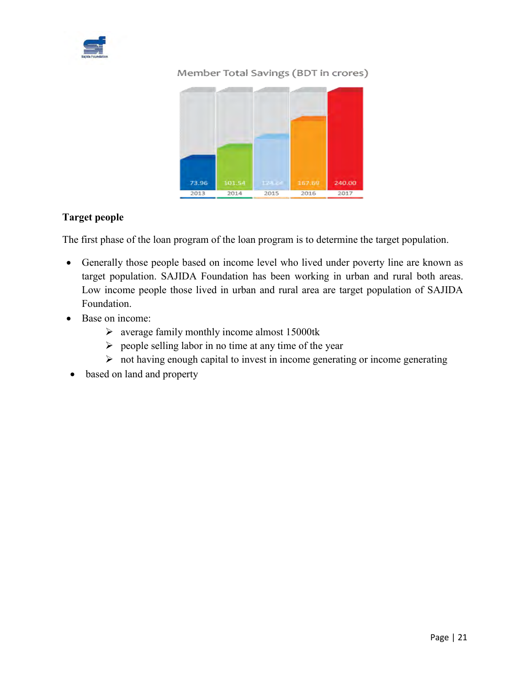

#### Member Total Savings (BDT in crores)



#### **Target people**

The first phase of the loan program of the loan program is to determine the target population.

- Generally those people based on income level who lived under poverty line are known as target population. SAJIDA Foundation has been working in urban and rural both areas. Low income people those lived in urban and rural area are target population of SAJIDA Foundation.
- Base on income:
	- $\triangleright$  average family monthly income almost 15000tk
	- $\triangleright$  people selling labor in no time at any time of the year
	- $\triangleright$  not having enough capital to invest in income generating or income generating
- based on land and property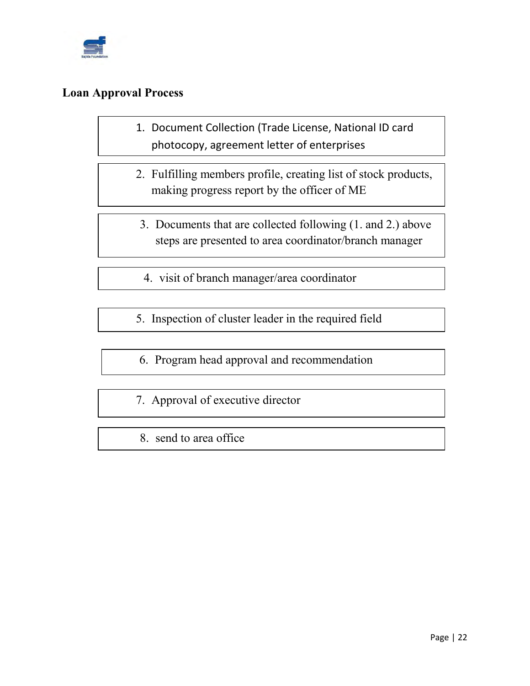

#### **Loan Approval Process**

- 1. Document Collection (Trade License, National ID card photocopy, agreement letter of enterprises
- 2. Fulfilling members profile, creating list of stock products, making progress report by the officer of ME
	- 3. Documents that are collected following (1. and 2.) above steps are presented to area coordinator/branch manager
	- 4. visit of branch manager/area coordinator
- 5. Inspection of cluster leader in the required field
- 6. Program head approval and recommendation
- 7. Approval of executive director
- 8. send to area office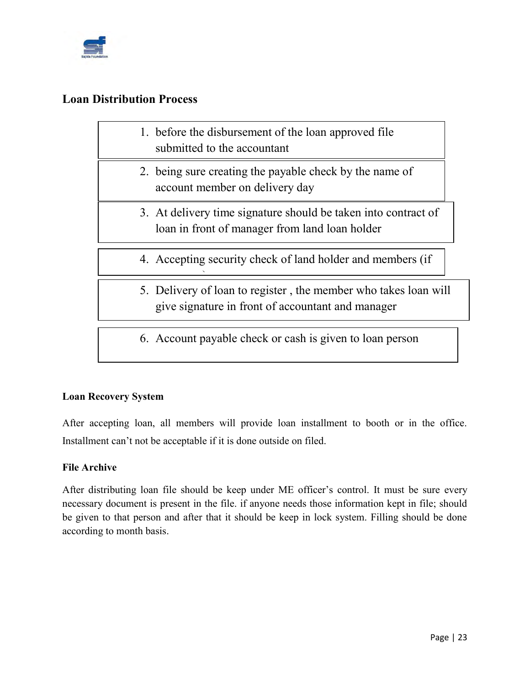

#### **Loan Distribution Process**

necessary) in the control of the control of the control of the control of the control of the control of the co<br>The control of the control of the control of the control of the control of the control of the control of the c

- 1. before the disbursement of the loan approved file submitted to the accountant
- 2. being sure creating the payable check by the name of account member on delivery day
- 3. At delivery time signature should be taken into contract of loan in front of manager from land loan holder
- 4. Accepting security check of land holder and members (if
- 5. Delivery of loan to register , the member who takes loan will give signature in front of accountant and manager
- 6. Account payable check or cash is given to loan person

#### **Loan Recovery System**

After accepting loan, all members will provide loan installment to booth or in the office. Installment can't not be acceptable if it is done outside on filed.

#### **File Archive**

After distributing loan file should be keep under ME officer's control. It must be sure every necessary document is present in the file. if anyone needs those information kept in file; should be given to that person and after that it should be keep in lock system. Filling should be done according to month basis.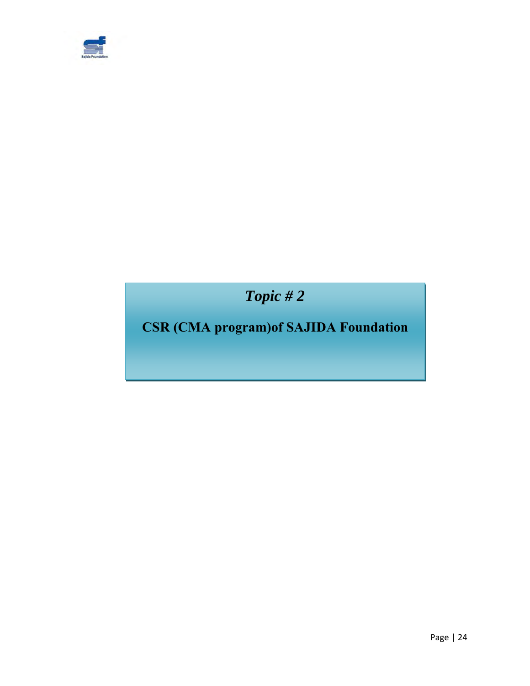

 *Topic # 2*

## **CSR (CMA program)of SAJIDA Foundation**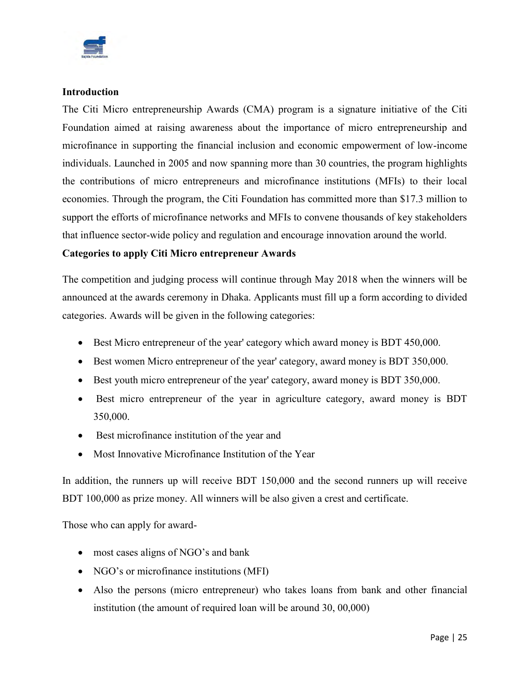

#### **Introduction**

The Citi Micro entrepreneurship Awards (CMA) program is a signature initiative of the Citi Foundation aimed at raising awareness about the importance of micro entrepreneurship and microfinance in supporting the financial inclusion and economic empowerment of low-income individuals. Launched in 2005 and now spanning more than 30 countries, the program highlights the contributions of micro entrepreneurs and microfinance institutions (MFIs) to their local economies. Through the program, the Citi Foundation has committed more than \$17.3 million to support the efforts of microfinance networks and MFIs to convene thousands of key stakeholders that influence sector-wide policy and regulation and encourage innovation around the world.

#### **Categories to apply Citi Micro entrepreneur Awards**

The competition and judging process will continue through May 2018 when the winners will be announced at the awards ceremony in Dhaka. Applicants must fill up a form according to divided categories. Awards will be given in the following categories:

- Best Micro entrepreneur of the year' category which award money is BDT 450,000.
- Best women Micro entrepreneur of the year' category, award money is BDT 350,000.
- Best youth micro entrepreneur of the year' category, award money is BDT 350,000.
- Best micro entrepreneur of the year in agriculture category, award money is BDT 350,000.
- Best microfinance institution of the year and
- Most Innovative Microfinance Institution of the Year

In addition, the runners up will receive BDT 150,000 and the second runners up will receive BDT 100,000 as prize money. All winners will be also given a crest and certificate.

Those who can apply for award-

- most cases aligns of NGO's and bank
- NGO's or microfinance institutions (MFI)
- Also the persons (micro entrepreneur) who takes loans from bank and other financial institution (the amount of required loan will be around 30, 00,000)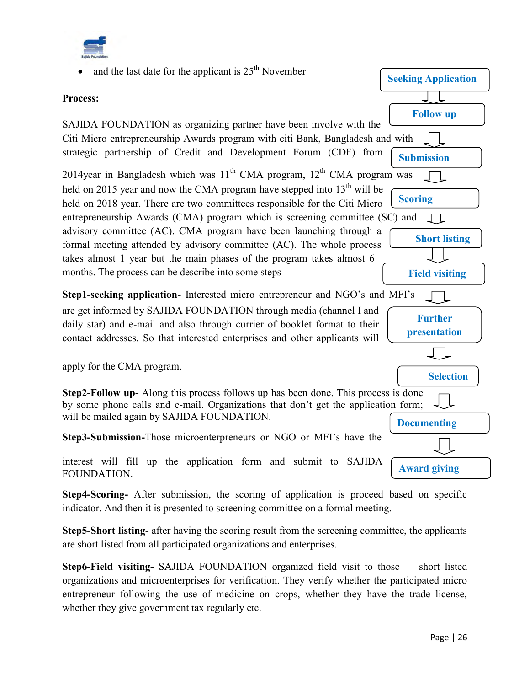



**Step4-Scoring-** After submission, the scoring of application is proceed based on specific indicator. And then it is presented to screening committee on a formal meeting.

**Step5-Short listing-** after having the scoring result from the screening committee, the applicants are short listed from all participated organizations and enterprises.

**Step6-Field visiting-** SAJIDA FOUNDATION organized field visit to those short listed organizations and microenterprises for verification. They verify whether the participated micro entrepreneur following the use of medicine on crops, whether they have the trade license, whether they give government tax regularly etc.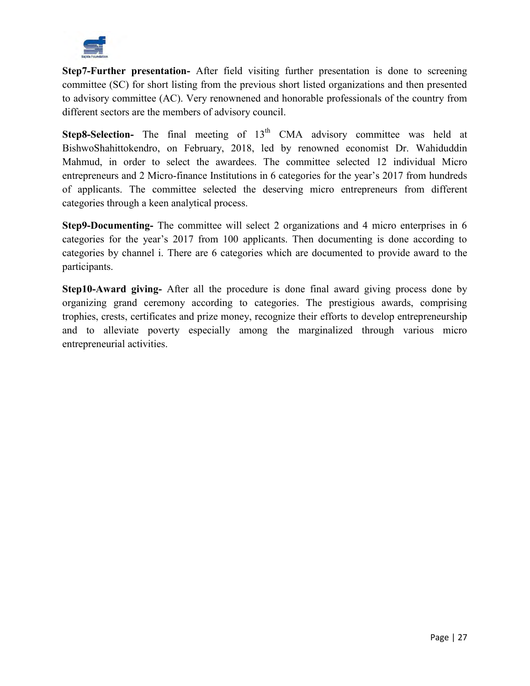

**Step7-Further presentation-** After field visiting further presentation is done to screening committee (SC) for short listing from the previous short listed organizations and then presented to advisory committee (AC). Very renownened and honorable professionals of the country from different sectors are the members of advisory council.

**Step8-Selection-** The final meeting of 13<sup>th</sup> CMA advisory committee was held at BishwoShahittokendro, on February, 2018, led by renowned economist Dr. Wahiduddin Mahmud, in order to select the awardees. The committee selected 12 individual Micro entrepreneurs and 2 Micro-finance Institutions in 6 categories for the year's 2017 from hundreds of applicants. The committee selected the deserving micro entrepreneurs from different categories through a keen analytical process.

**Step9-Documenting-** The committee will select 2 organizations and 4 micro enterprises in 6 categories for the year's 2017 from 100 applicants. Then documenting is done according to categories by channel i. There are 6 categories which are documented to provide award to the participants.

**Step10-Award giving-** After all the procedure is done final award giving process done by organizing grand ceremony according to categories. The prestigious awards, comprising trophies, crests, certificates and prize money, recognize their efforts to develop entrepreneurship and to alleviate poverty especially among the marginalized through various micro entrepreneurial activities.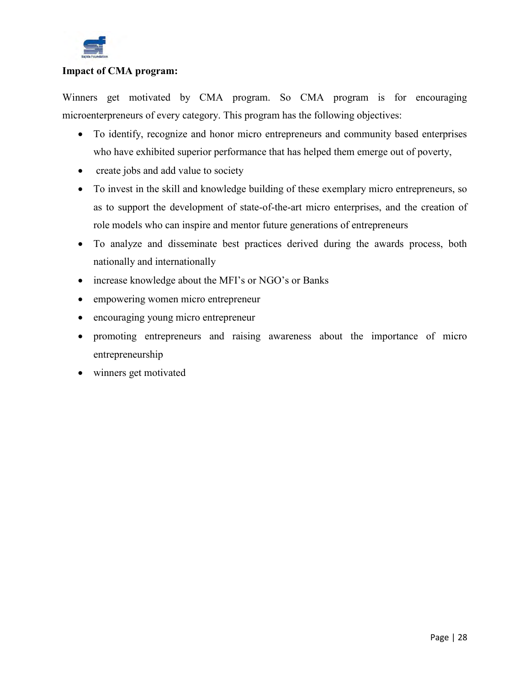

#### **Impact of CMA program:**

Winners get motivated by CMA program. So CMA program is for encouraging microenterpreneurs of every category. This program has the following objectives:

- To identify, recognize and honor micro entrepreneurs and community based enterprises who have exhibited superior performance that has helped them emerge out of poverty,
- create jobs and add value to society
- To invest in the skill and knowledge building of these exemplary micro entrepreneurs, so as to support the development of state-of-the-art micro enterprises, and the creation of role models who can inspire and mentor future generations of entrepreneurs
- To analyze and disseminate best practices derived during the awards process, both nationally and internationally
- increase knowledge about the MFI's or NGO's or Banks
- empowering women micro entrepreneur
- encouraging young micro entrepreneur
- promoting entrepreneurs and raising awareness about the importance of micro entrepreneurship
- winners get motivated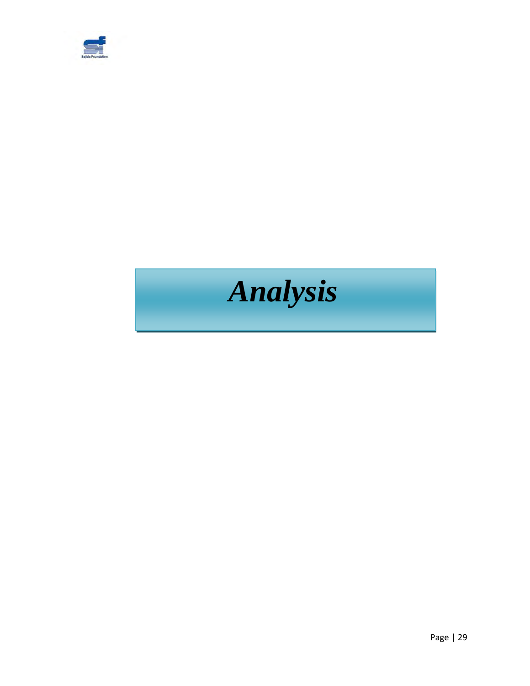

# *Analysis*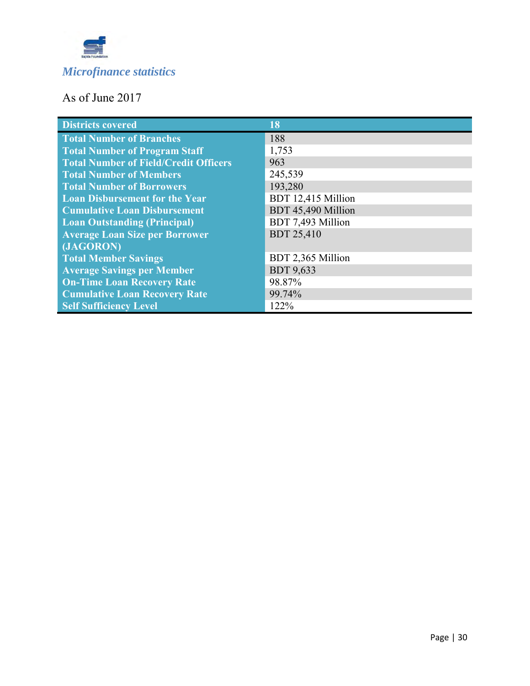

### As of June 2017

| <b>Districts covered</b>                     | 18                 |
|----------------------------------------------|--------------------|
| <b>Total Number of Branches</b>              | 188                |
| <b>Total Number of Program Staff</b>         | 1,753              |
| <b>Total Number of Field/Credit Officers</b> | 963                |
| <b>Total Number of Members</b>               | 245,539            |
| <b>Total Number of Borrowers</b>             | 193,280            |
| <b>Loan Disbursement for the Year</b>        | BDT 12,415 Million |
| <b>Cumulative Loan Disbursement</b>          | BDT 45,490 Million |
| <b>Loan Outstanding (Principal)</b>          | BDT 7,493 Million  |
| <b>Average Loan Size per Borrower</b>        | <b>BDT 25,410</b>  |
| (JAGORON)                                    |                    |
| <b>Total Member Savings</b>                  | BDT 2,365 Million  |
| <b>Average Savings per Member</b>            | <b>BDT 9,633</b>   |
| <b>On-Time Loan Recovery Rate</b>            | 98.87%             |
| <b>Cumulative Loan Recovery Rate</b>         | 99.74%             |
| <b>Self Sufficiency Level</b>                | 122%               |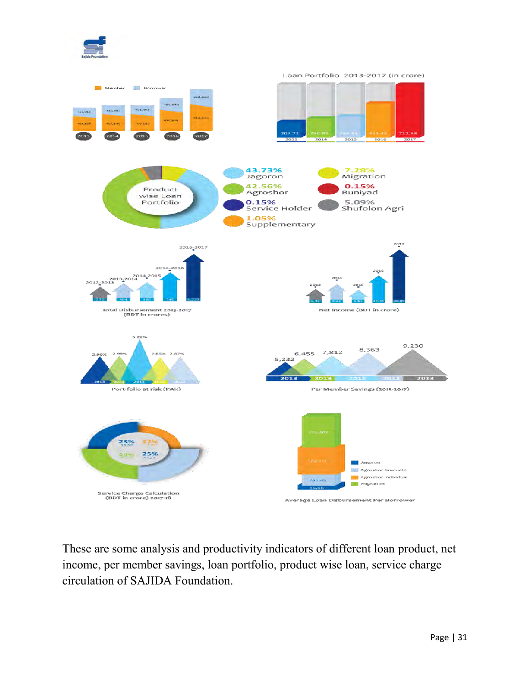

These are some analysis and productivity indicators of different loan product, net income, per member savings, loan portfolio, product wise loan, service charge circulation of SAJIDA Foundation.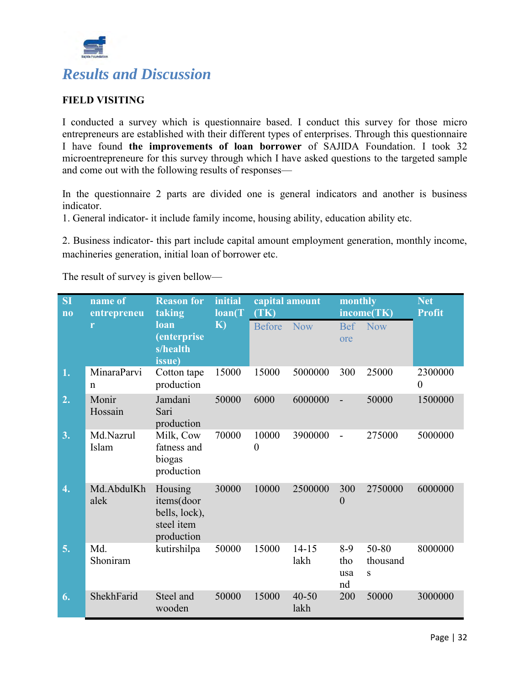

#### **FIELD VISITING**

I conducted a survey which is questionnaire based. I conduct this survey for those micro entrepreneurs are established with their different types of enterprises. Through this questionnaire I have found **the improvements of loan borrower** of SAJIDA Foundation. I took 32 microentrepreneure for this survey through which I have asked questions to the targeted sample and come out with the following results of responses—

In the questionnaire 2 parts are divided one is general indicators and another is business indicator.

1. General indicator- it include family income, housing ability, education ability etc.

2. Business indicator- this part include capital amount employment generation, monthly income, machineries generation, initial loan of borrower etc.

The result of survey is given bellow—

| <b>SI</b><br>$\overline{\bf n}$ | name of<br>entrepreneu     | <b>Reason for</b><br>taking                                        | initial<br>$\mathbf{loan}(T)$ | capital amount<br>(TK)    |                   | monthly                   | income(TK)             | <b>Net</b><br><b>Profit</b> |
|---------------------------------|----------------------------|--------------------------------------------------------------------|-------------------------------|---------------------------|-------------------|---------------------------|------------------------|-----------------------------|
|                                 | r                          | loan<br>(enterprise<br>s/health<br>issue)                          | K)                            | <b>Before</b>             | <b>Now</b>        | ore                       | Bef Now                |                             |
| 1.                              | MinaraParvi<br>$\mathbf n$ | Cotton tape<br>production                                          | 15000                         | 15000                     | 5000000           | 300                       | 25000                  | 2300000<br>$\overline{0}$   |
| 2.                              | Monir<br>Hossain           | Jamdani<br>Sari<br>production                                      | 50000                         | 6000                      | 6000000           | $\overline{a}$            | 50000                  | 1500000                     |
| 3.                              | Md.Nazrul<br>Islam         | Milk, Cow<br>fatness and<br>biogas<br>production                   | 70000                         | 10000<br>$\boldsymbol{0}$ | 3900000           |                           | 275000                 | 5000000                     |
| 4.                              | Md.AbdulKh<br>alek         | Housing<br>items(door<br>bells, lock),<br>steel item<br>production | 30000                         | 10000                     | 2500000           | 300<br>$\mathbf{0}$       | 2750000                | 6000000                     |
| 5.                              | Md.<br>Shoniram            | kutirshilpa                                                        | 50000                         | 15000                     | $14 - 15$<br>lakh | $8-9$<br>tho<br>usa<br>nd | 50-80<br>thousand<br>S | 8000000                     |
| 6.                              | ShekhFarid                 | Steel and<br>wooden                                                | 50000                         | 15000                     | $40 - 50$<br>lakh | 200                       | 50000                  | 3000000                     |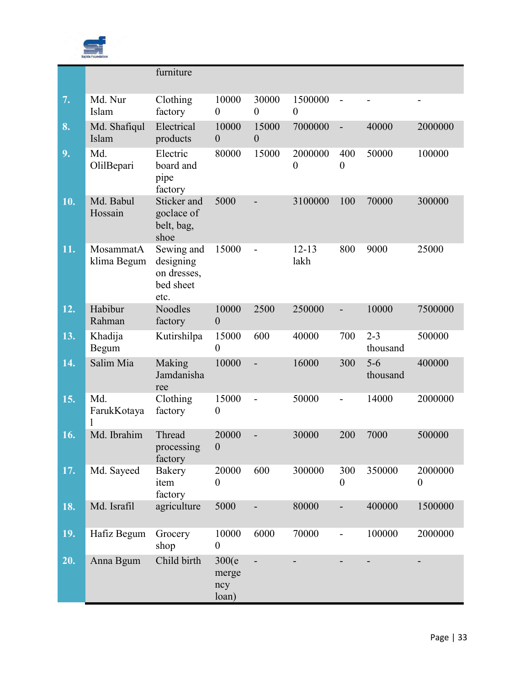

|     |                          | furniture                                                   |                                 |                           |                             |                          |                     |                             |
|-----|--------------------------|-------------------------------------------------------------|---------------------------------|---------------------------|-----------------------------|--------------------------|---------------------|-----------------------------|
| 7.  | Md. Nur<br>Islam         | Clothing<br>factory                                         | 10000<br>$\boldsymbol{0}$       | 30000<br>$\overline{0}$   | 1500000<br>$\overline{0}$   |                          |                     | $\overline{\phantom{a}}$    |
| 8.  | Md. Shafiqul<br>Islam    | Electrical<br>products                                      | 10000<br>$\boldsymbol{0}$       | 15000<br>$\boldsymbol{0}$ | 7000000                     | $\qquad \qquad -$        | 40000               | 2000000                     |
| 9.  | Md.<br>OlilBepari        | Electric<br>board and<br>pipe<br>factory                    | 80000                           | 15000                     | 2000000<br>$\boldsymbol{0}$ | 400<br>$\boldsymbol{0}$  | 50000               | 100000                      |
| 10. | Md. Babul<br>Hossain     | Sticker and<br>goclace of<br>belt, bag,<br>shoe             | 5000                            |                           | 3100000                     | 100                      | 70000               | 300000                      |
| 11. | MosammatA<br>klima Begum | Sewing and<br>designing<br>on dresses,<br>bed sheet<br>etc. | 15000                           |                           | $12 - 13$<br>lakh           | 800                      | 9000                | 25000                       |
| 12. | Habibur<br>Rahman        | <b>Noodles</b><br>factory                                   | 10000<br>$\mathbf{0}$           | 2500                      | 250000                      | $\overline{\phantom{0}}$ | 10000               | 7500000                     |
| 13. | Khadija<br>Begum         | Kutirshilpa                                                 | 15000<br>$\overline{0}$         | 600                       | 40000                       | 700                      | $2 - 3$<br>thousand | 500000                      |
| 14. | Salim Mia                | Making<br>Jamdanisha<br>ree                                 | 10000                           | $\overline{a}$            | 16000                       | 300                      | $5-6$<br>thousand   | 400000                      |
| 15. | Md.<br>FarukKotaya<br>1  | Clothing<br>factory                                         | 15000<br>$\boldsymbol{0}$       | $\overline{a}$            | 50000                       |                          | 14000               | 2000000                     |
| 16. | Md. Ibrahim              | Thread<br>processing<br>factory                             | 20000<br>$\boldsymbol{0}$       |                           | 30000                       | 200                      | 7000                | 500000                      |
| 17. | Md. Sayeed               | Bakery<br>item<br>factory                                   | 20000<br>$\boldsymbol{0}$       | 600                       | 300000                      | 300<br>$\boldsymbol{0}$  | 350000              | 2000000<br>$\boldsymbol{0}$ |
| 18. | Md. Israfil              | agriculture                                                 | 5000                            |                           | 80000                       | $\overline{\phantom{0}}$ | 400000              | 1500000                     |
| 19. | Hafiz Begum              | Grocery<br>shop                                             | 10000<br>$\boldsymbol{0}$       | 6000                      | 70000                       | -                        | 100000              | 2000000                     |
| 20. | Anna Bgum                | Child birth                                                 | 300(e)<br>merge<br>ncy<br>loan) | $\overline{a}$            |                             |                          |                     |                             |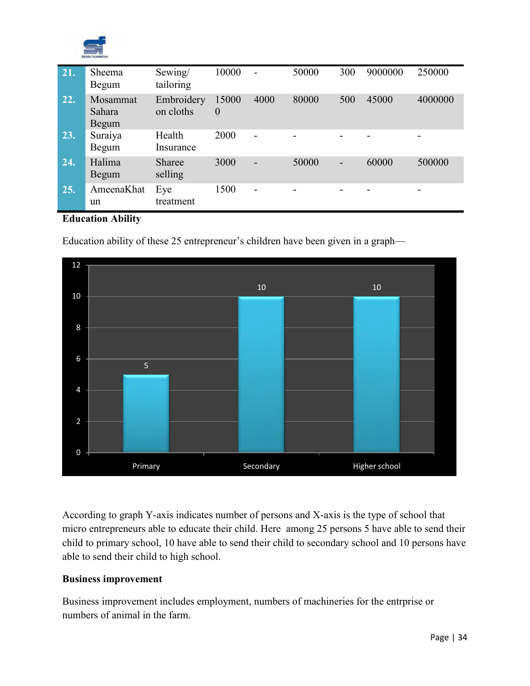

| 21. | Sheema<br>Begum             | Sewing/<br>tailoring     | 10000             | $\overline{\phantom{a}}$ | 50000          | 300            | 9000000 | 250000         |
|-----|-----------------------------|--------------------------|-------------------|--------------------------|----------------|----------------|---------|----------------|
| 22. | Mosammat<br>Sahara<br>Begum | Embroidery<br>on cloths  | 15000<br>$\theta$ | 4000                     | 80000          | 500            | 45000   | 4000000        |
| 23. | Suraiya<br>Begum            | Health<br>Insurance      | 2000              | $\overline{\phantom{0}}$ | $\blacksquare$ |                |         | $\overline{a}$ |
| 24. | Halima<br>Begum             | <b>Sharee</b><br>selling | 3000              | $\overline{a}$           | 50000          | $\blacksquare$ | 60000   | 500000         |
| 25. | AmeenaKhat<br>un            | Eye<br>treatment         | 1500              | -                        | -              |                |         | -              |

#### **Education Ability**

Education ability of these 25 entrepreneur's children have been given in a graph—



According to graph Y-axis indicates number of persons and X-axis is the type of school that micro entrepreneurs able to educate their child. Here among 25 persons 5 have able to send their child to primary school, 10 have able to send their child to secondary school and 10 persons have able to send their child to high school.

#### **Business improvement**

Business improvement includes employment, numbers of machineries for the entrprise or numbers of animal in the farm.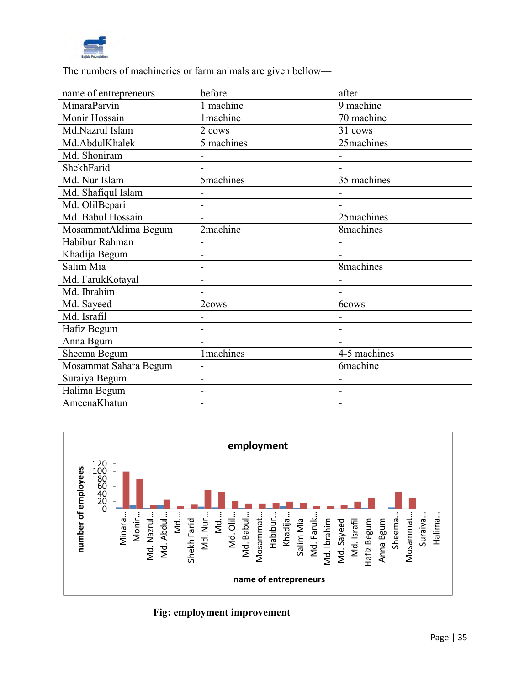

The numbers of machineries or farm animals are given bellow—

| name of entrepreneurs | before                       | after                    |
|-----------------------|------------------------------|--------------------------|
| MinaraParvin          | 1 machine                    | 9 machine                |
| Monir Hossain         | <b>1</b> machine             | 70 machine               |
| Md.Nazrul Islam       | 2 cows                       | 31 cows                  |
| Md.AbdulKhalek        | 5 machines                   | 25machines               |
| Md. Shoniram          |                              |                          |
| ShekhFarid            |                              |                          |
| Md. Nur Islam         | <b>5machines</b>             | 35 machines              |
| Md. Shafiqul Islam    |                              |                          |
| Md. OlilBepari        | $\overline{a}$               |                          |
| Md. Babul Hossain     | $\blacksquare$               | 25machines               |
| MosammatAklima Begum  | 2machine                     | 8machines                |
| Habibur Rahman        | $\overline{\phantom{0}}$     |                          |
| Khadija Begum         |                              |                          |
| Salim Mia             | $\overline{a}$               | 8machines                |
| Md. FarukKotayal      | -                            |                          |
| Md. Ibrahim           | $\overline{a}$               |                          |
| Md. Sayeed            | 2cows                        | 6cows                    |
| Md. Israfil           | -                            |                          |
| Hafiz Begum           | $\overline{a}$               | $\overline{\phantom{0}}$ |
| Anna Bgum             |                              |                          |
| Sheema Begum          | <b>1</b> machines            | 4-5 machines             |
| Mosammat Sahara Begum | -                            | <b>6machine</b>          |
| Suraiya Begum         | $\overline{a}$               |                          |
| Halima Begum          | $\qquad \qquad \blacksquare$ | -                        |
| AmeenaKhatun          | $\blacksquare$               |                          |



 **Fig: employment improvement**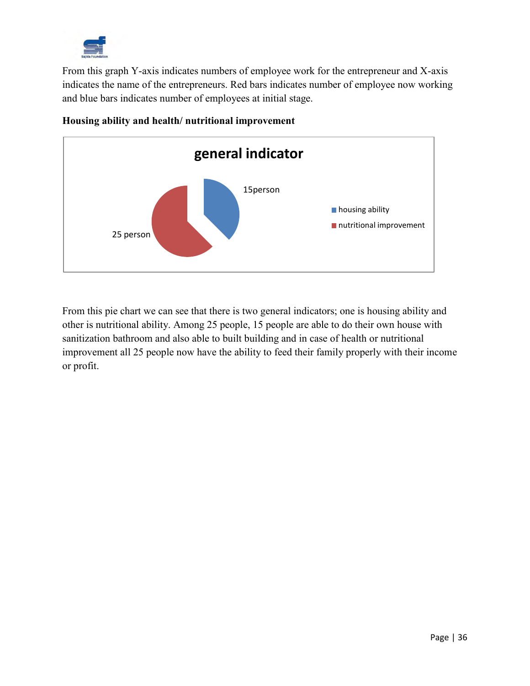

From this graph Y-axis indicates numbers of employee work for the entrepreneur and X-axis indicates the name of the entrepreneurs. Red bars indicates number of employee now working and blue bars indicates number of employees at initial stage.



#### **Housing ability and health/ nutritional improvement**

From this pie chart we can see that there is two general indicators; one is housing ability and other is nutritional ability. Among 25 people, 15 people are able to do their own house with sanitization bathroom and also able to built building and in case of health or nutritional improvement all 25 people now have the ability to feed their family properly with their income or profit.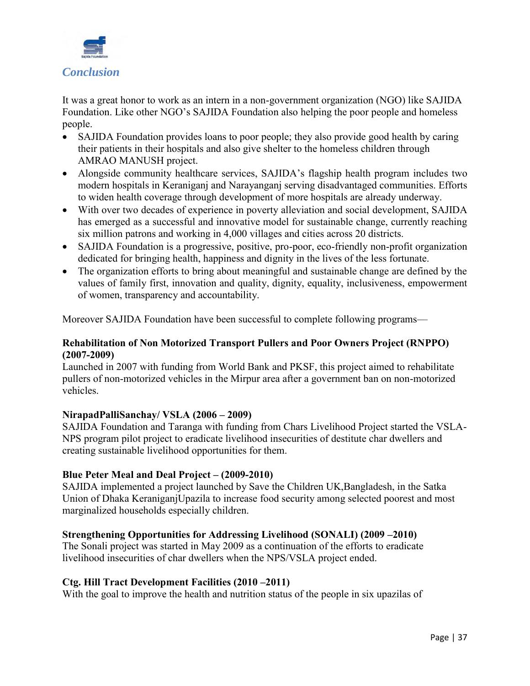

It was a great honor to work as an intern in a non-government organization (NGO) like SAJIDA Foundation. Like other NGO's SAJIDA Foundation also helping the poor people and homeless people.

- SAJIDA Foundation provides loans to poor people; they also provide good health by caring their patients in their hospitals and also give shelter to the homeless children through AMRAO MANUSH project.
- Alongside community healthcare services, SAJIDA's flagship health program includes two modern hospitals in Keraniganj and Narayanganj serving disadvantaged communities. Efforts to widen health coverage through development of more hospitals are already underway.
- With over two decades of experience in poverty alleviation and social development, SAJIDA has emerged as a successful and innovative model for sustainable change, currently reaching six million patrons and working in 4,000 villages and cities across 20 districts.
- SAJIDA Foundation is a progressive, positive, pro-poor, eco-friendly non-profit organization dedicated for bringing health, happiness and dignity in the lives of the less fortunate.
- The organization efforts to bring about meaningful and sustainable change are defined by the values of family first, innovation and quality, dignity, equality, inclusiveness, empowerment of women, transparency and accountability.

Moreover SAJIDA Foundation have been successful to complete following programs—

#### **Rehabilitation of Non Motorized Transport Pullers and Poor Owners Project (RNPPO) (2007-2009)**

Launched in 2007 with funding from World Bank and PKSF, this project aimed to rehabilitate pullers of non-motorized vehicles in the Mirpur area after a government ban on non-motorized vehicles.

#### **NirapadPalliSanchay/ VSLA (2006 – 2009)**

SAJIDA Foundation and Taranga with funding from Chars Livelihood Project started the VSLA-NPS program pilot project to eradicate livelihood insecurities of destitute char dwellers and creating sustainable livelihood opportunities for them.

#### **Blue Peter Meal and Deal Project – (2009-2010)**

SAJIDA implemented a project launched by Save the Children UK,Bangladesh, in the Satka Union of Dhaka KeraniganjUpazila to increase food security among selected poorest and most marginalized households especially children.

#### **Strengthening Opportunities for Addressing Livelihood (SONALI) (2009 –2010)**

The Sonali project was started in May 2009 as a continuation of the efforts to eradicate livelihood insecurities of char dwellers when the NPS/VSLA project ended.

#### **Ctg. Hill Tract Development Facilities (2010 –2011)**

With the goal to improve the health and nutrition status of the people in six upazilas of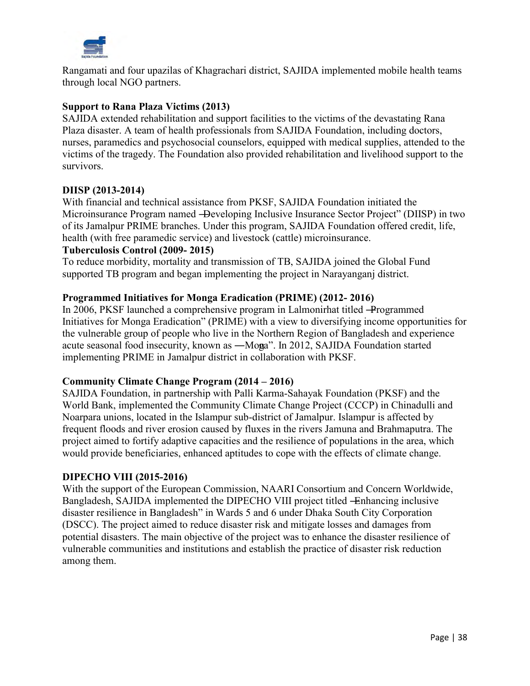

Rangamati and four upazilas of Khagrachari district, SAJIDA implemented mobile health teams through local NGO partners.

#### **Support to Rana Plaza Victims (2013)**

SAJIDA extended rehabilitation and support facilities to the victims of the devastating Rana Plaza disaster. A team of health professionals from SAJIDA Foundation, including doctors, nurses, paramedics and psychosocial counselors, equipped with medical supplies, attended to the victims of the tragedy. The Foundation also provided rehabilitation and livelihood support to the survivors.

#### **DIISP (2013-2014)**

With financial and technical assistance from PKSF, SAJIDA Foundation initiated the Microinsurance Program named —Developing Inclusive Insurance Sector Project" (DIISP) in two of its Jamalpur PRIME branches. Under this program, SAJIDA Foundation offered credit, life, health (with free paramedic service) and livestock (cattle) microinsurance.

#### **Tuberculosis Control (2009- 2015)**

To reduce morbidity, mortality and transmission of TB, SAJIDA joined the Global Fund supported TB program and began implementing the project in Narayanganj district.

#### **Programmed Initiatives for Monga Eradication (PRIME) (2012- 2016)**

In 2006, PKSF launched a comprehensive program in Lalmonirhat titled ―Programmed Initiatives for Monga Eradication" (PRIME) with a view to diversifying income opportunities for the vulnerable group of people who live in the Northern Region of Bangladesh and experience acute seasonal food insecurity, known as —Monga". In 2012, SAJIDA Foundation started implementing PRIME in Jamalpur district in collaboration with PKSF.

#### **Community Climate Change Program (2014 – 2016)**

SAJIDA Foundation, in partnership with Palli Karma-Sahayak Foundation (PKSF) and the World Bank, implemented the Community Climate Change Project (CCCP) in Chinadulli and Noarpara unions, located in the Islampur sub-district of Jamalpur. Islampur is affected by frequent floods and river erosion caused by fluxes in the rivers Jamuna and Brahmaputra. The project aimed to fortify adaptive capacities and the resilience of populations in the area, which would provide beneficiaries, enhanced aptitudes to cope with the effects of climate change.

#### **DIPECHO VIII (2015-2016)**

With the support of the European Commission, NAARI Consortium and Concern Worldwide, Bangladesh, SAJIDA implemented the DIPECHO VIII project titled -Enhancing inclusive disaster resilience in Bangladesh" in Wards 5 and 6 under Dhaka South City Corporation (DSCC). The project aimed to reduce disaster risk and mitigate losses and damages from potential disasters. The main objective of the project was to enhance the disaster resilience of vulnerable communities and institutions and establish the practice of disaster risk reduction among them.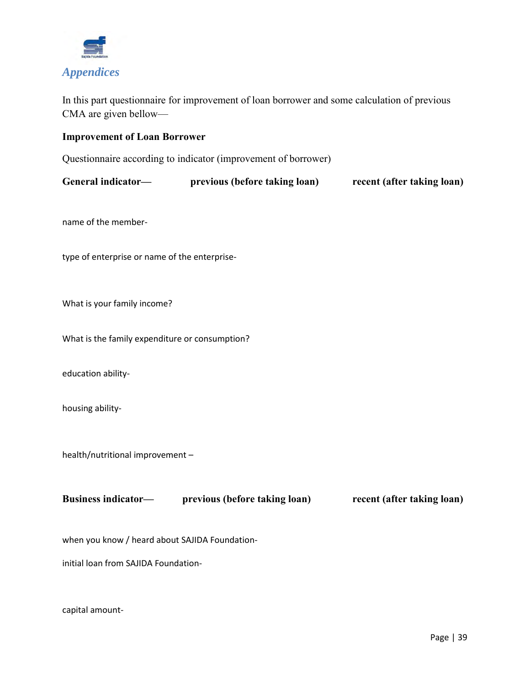

In this part questionnaire for improvement of loan borrower and some calculation of previous CMA are given bellow—

#### **Improvement of Loan Borrower**

Questionnaire according to indicator (improvement of borrower)

| General indicator— | previous (before taking loan) | recent (after taking loan) |
|--------------------|-------------------------------|----------------------------|
|--------------------|-------------------------------|----------------------------|

name of the member-

type of enterprise or name of the enterprise-

What is your family income?

What is the family expenditure or consumption?

education ability-

housing ability-

health/nutritional improvement –

**Business indicator—** previous (before taking loan) **recent (after taking loan)** 

when you know / heard about SAJIDA Foundation-

initial loan from SAJIDA Foundation-

capital amount-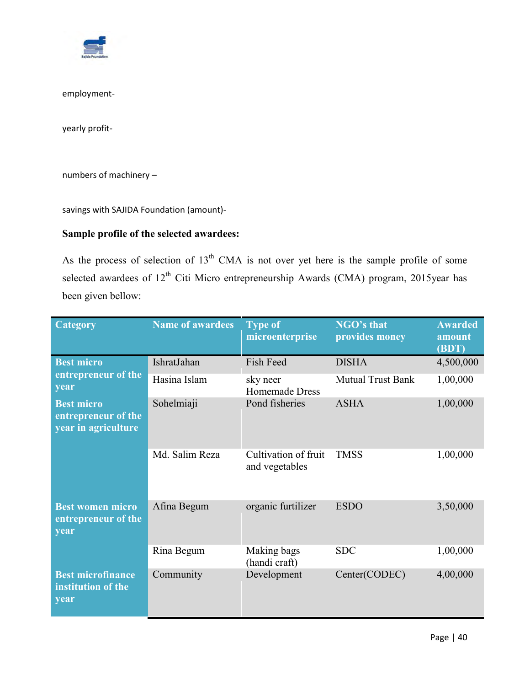

employment-

yearly profit-

numbers of machinery –

savings with SAJIDA Foundation (amount)-

#### **Sample profile of the selected awardees:**

As the process of selection of  $13<sup>th</sup>$  CMA is not over yet here is the sample profile of some selected awardees of  $12<sup>th</sup>$  Citi Micro entrepreneurship Awards (CMA) program, 2015year has been given bellow:

| <b>Category</b>                                                 | <b>Name of awardees</b> | <b>Type of</b><br>microenterprise      | NGO's that<br>provides money | <b>Awarded</b><br>amount<br>(BDT) |
|-----------------------------------------------------------------|-------------------------|----------------------------------------|------------------------------|-----------------------------------|
| <b>Best micro</b>                                               | IshratJahan             | Fish Feed                              | <b>DISHA</b>                 | 4,500,000                         |
| entrepreneur of the<br>year                                     | Hasina Islam            | sky neer<br><b>Homemade Dress</b>      | <b>Mutual Trust Bank</b>     | 1,00,000                          |
| <b>Best micro</b><br>entrepreneur of the<br>year in agriculture | Sohelmiaji              | Pond fisheries                         | <b>ASHA</b>                  | 1,00,000                          |
|                                                                 | Md. Salim Reza          | Cultivation of fruit<br>and vegetables | <b>TMSS</b>                  | 1,00,000                          |
| <b>Best women micro</b><br>entrepreneur of the<br>year          | Afina Begum             | organic furtilizer                     | <b>ESDO</b>                  | 3,50,000                          |
|                                                                 | Rina Begum              | Making bags<br>(handi craft)           | <b>SDC</b>                   | 1,00,000                          |
| <b>Best microfinance</b><br>institution of the<br>year          | Community               | Development                            | Center(CODEC)                | 4,00,000                          |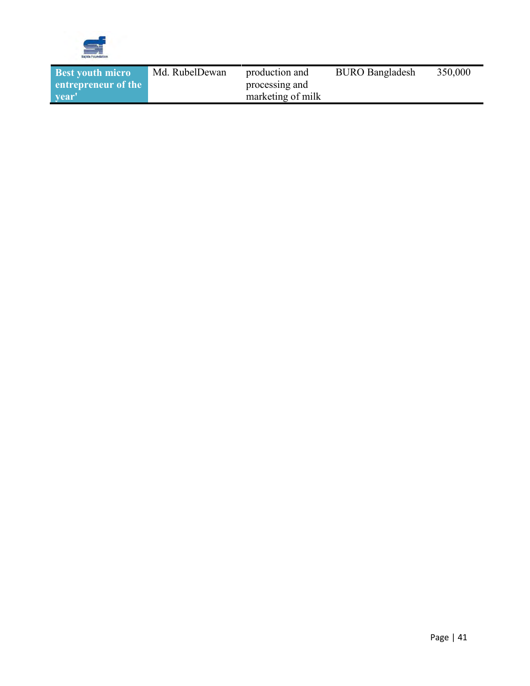

| Md. RubelDewan<br><b>BURO Bangladesh</b><br><b>Best youth micro</b><br>production and | 350,000 |
|---------------------------------------------------------------------------------------|---------|
| entrepreneur of the<br>processing and                                                 |         |
| marketing of milk<br><b>vear</b>                                                      |         |